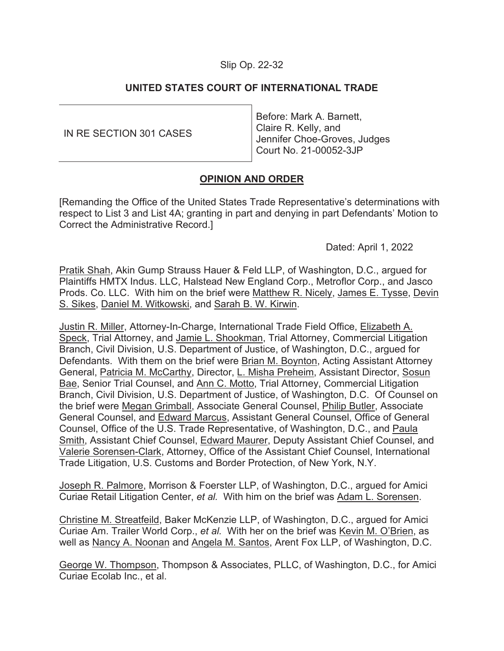## Slip Op. 22-

# **UNITED STATES COURT OF INTERNATIONAL TRADE**

| IN RE SECTION 301 CASES | I Before: Mark A. Barnett,   |
|-------------------------|------------------------------|
|                         | Claire R. Kelly, and         |
|                         | Jennifer Choe-Groves, Judges |
|                         | Court No. 21-00052-3JP       |
|                         |                              |

# **OPINION AND ORDER**

[Remanding the Office of the United States Trade Representative's determinations with respect to List 3 and List 4A; granting in part and denying in part Defendants' Motion to Correct the Administrative Record.]

Dated: April 1, 2022

Pratik Shah, Akin Gump Strauss Hauer & Feld LLP, of Washington, D.C., argued for Plaintiffs HMTX Indus. LLC, Halstead New England Corp., Metroflor Corp., and Jasco Prods. Co. LLC. With him on the brief were Matthew R. Nicely, James E. Tysse, Devin S. Sikes, Daniel M. Witkowski, and Sarah B. W. Kirwin.

Justin R. Miller, Attorney-In-Charge, International Trade Field Office, Elizabeth A. Speck, Trial Attorney, and Jamie L. Shookman, Trial Attorney, Commercial Litigation Branch, Civil Division, U.S. Department of Justice, of Washington, D.C., argued for Defendants. With them on the brief were Brian M. Boynton, Acting Assistant Attorney General, Patricia M. McCarthy, Director, L. Misha Preheim, Assistant Director, Sosun Bae, Senior Trial Counsel, and Ann C. Motto, Trial Attorney, Commercial Litigation Branch, Civil Division, U.S. Department of Justice, of Washington, D.C. Of Counsel on the brief were Megan Grimball, Associate General Counsel, Philip Butler, Associate General Counsel, and Edward Marcus, Assistant General Counsel, Office of General Counsel, Office of the U.S. Trade Representative, of Washington, D.C., and Paula Smith, Assistant Chief Counsel, Edward Maurer, Deputy Assistant Chief Counsel, and Valerie Sorensen-Clark, Attorney, Office of the Assistant Chief Counsel, International Trade Litigation, U.S. Customs and Border Protection, of New York, N.Y.

Joseph R. Palmore, Morrison & Foerster LLP, of Washington, D.C., argued for Amici Curiae Retail Litigation Center, *et al.* With him on the brief was Adam L. Sorensen.

Christine M. Streatfeild, Baker McKenzie LLP, of Washington, D.C., argued for Amici Curiae Am. Trailer World Corp., *et al.* With her on the brief was Kevin M. O'Brien, as well as Nancy A. Noonan and Angela M. Santos, Arent Fox LLP, of Washington, D.C.

George W. Thompson, Thompson & Associates, PLLC, of Washington, D.C., for Amici Curiae Ecolab Inc., et al.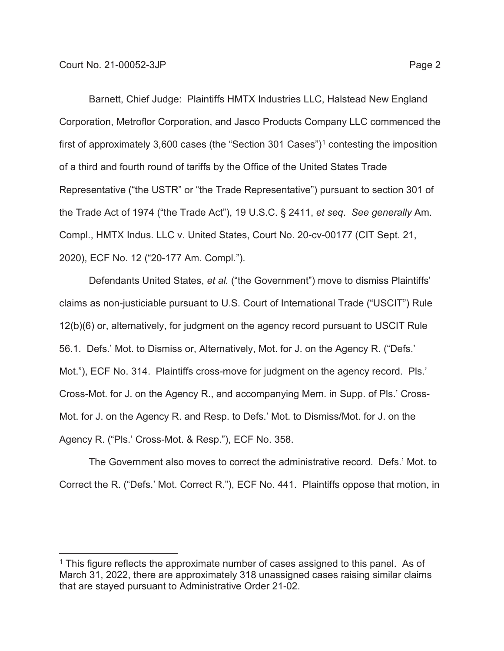Barnett, Chief Judge: Plaintiffs HMTX Industries LLC, Halstead New England Corporation, Metroflor Corporation, and Jasco Products Company LLC commenced the first of approximately 3,600 cases (the "Section 301 Cases")<sup>1</sup> contesting the imposition of a third and fourth round of tariffs by the Office of the United States Trade Representative ("the USTR" or "the Trade Representative") pursuant to section 301 of the Trade Act of 1974 ("the Trade Act"), 19 U.S.C. § 2411, *et seq*. *See generally* Am. Compl., HMTX Indus. LLC v. United States, Court No. 20-cv-00177 (CIT Sept. 21, 2020), ECF No. 12 ("20-177 Am. Compl.").

Defendants United States, *et al.* ("the Government") move to dismiss Plaintiffs' claims as non-justiciable pursuant to U.S. Court of International Trade ("USCIT") Rule 12(b)(6) or, alternatively, for judgment on the agency record pursuant to USCIT Rule 56.1. Defs.' Mot. to Dismiss or, Alternatively, Mot. for J. on the Agency R. ("Defs.' Mot."), ECF No. 314. Plaintiffs cross-move for judgment on the agency record. Pls.' Cross-Mot. for J. on the Agency R., and accompanying Mem. in Supp. of Pls.' Cross-Mot. for J. on the Agency R. and Resp. to Defs.' Mot. to Dismiss/Mot. for J. on the Agency R. ("Pls.' Cross-Mot. & Resp."), ECF No. 358.

The Government also moves to correct the administrative record. Defs.' Mot. to Correct the R. ("Defs.' Mot. Correct R."), ECF No. 441. Plaintiffs oppose that motion, in

 $<sup>1</sup>$  This figure reflects the approximate number of cases assigned to this panel. As of</sup> March 31, 2022, there are approximately 318 unassigned cases raising similar claims that are stayed pursuant to Administrative Order 21-02.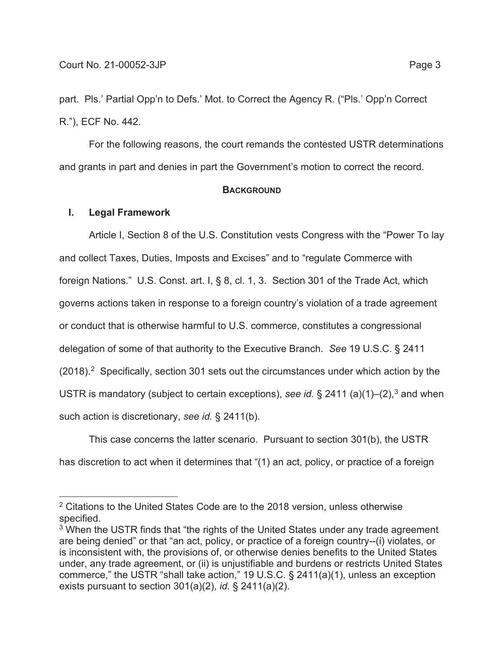part. Pls.' Partial Opp'n to Defs.' Mot. to Correct the Agency R. ("Pls.' Opp'n Correct R."), ECF No. 442.

For the following reasons, the court remands the contested USTR determinations and grants in part and denies in part the Government's motion to correct the record.

#### **BACKGROUND**

### **I. Legal Framework**

Article I, Section 8 of the U.S. Constitution vests Congress with the "Power To lay and collect Taxes, Duties, Imposts and Excises" and to "regulate Commerce with foreign Nations." U.S. Const. art. I, § 8, cl. 1, 3. Section 301 of the Trade Act, which governs actions taken in response to a foreign country's violation of a trade agreement or conduct that is otherwise harmful to U.S. commerce, constitutes a congressional delegation of some of that authority to the Executive Branch. *See* 19 U.S.C. § 2411  $(2018).<sup>2</sup>$  Specifically, section 301 sets out the circumstances under which action by the USTR is mandatory (subject to certain exceptions), *see id.* § 2411 (a)(1)–(2),<sup>3</sup> and when such action is discretionary, *see id.* § 2411(b).

This case concerns the latter scenario. Pursuant to section 301(b), the USTR has discretion to act when it determines that "(1) an act, policy, or practice of a foreign

<sup>&</sup>lt;sup>2</sup> Citations to the United States Code are to the 2018 version, unless otherwise specified.

<sup>&</sup>lt;sup>3</sup> When the USTR finds that "the rights of the United States under any trade agreement are being denied" or that "an act, policy, or practice of a foreign country--(i) violates, or is inconsistent with, the provisions of, or otherwise denies benefits to the United States under, any trade agreement, or (ii) is unjustifiable and burdens or restricts United States commerce," the USTR "shall take action," 19 U.S.C. § 2411(a)(1), unless an exception exists pursuant to section 301(a)(2), *id.* § 2411(a)(2).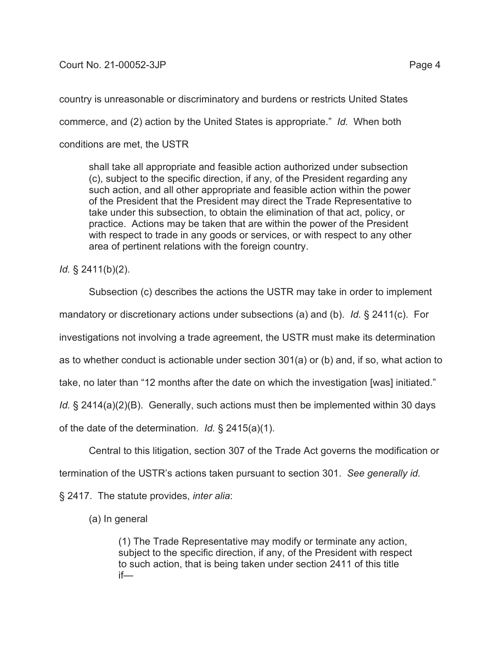## Court No. 21-00052-3JP Page 4

country is unreasonable or discriminatory and burdens or restricts United States commerce, and (2) action by the United States is appropriate." *Id.* When both conditions are met, the USTR

shall take all appropriate and feasible action authorized under subsection (c), subject to the specific direction, if any, of the President regarding any such action, and all other appropriate and feasible action within the power of the President that the President may direct the Trade Representative to take under this subsection, to obtain the elimination of that act, policy, or practice. Actions may be taken that are within the power of the President with respect to trade in any goods or services, or with respect to any other area of pertinent relations with the foreign country.

*Id.* § 2411(b)(2).

Subsection (c) describes the actions the USTR may take in order to implement

mandatory or discretionary actions under subsections (a) and (b). *Id.* § 2411(c). For

investigations not involving a trade agreement, the USTR must make its determination

as to whether conduct is actionable under section 301(a) or (b) and, if so, what action to

take, no later than "12 months after the date on which the investigation [was] initiated."

*Id.* § 2414(a)(2)(B). Generally, such actions must then be implemented within 30 days

of the date of the determination. *Id.* § 2415(a)(1).

Central to this litigation, section 307 of the Trade Act governs the modification or

termination of the USTR's actions taken pursuant to section 301. *See generally id.*

§ 2417. The statute provides, *inter alia*:

(a) In general

(1) The Trade Representative may modify or terminate any action, subject to the specific direction, if any, of the President with respect to such action, that is being taken under section 2411 of this title if—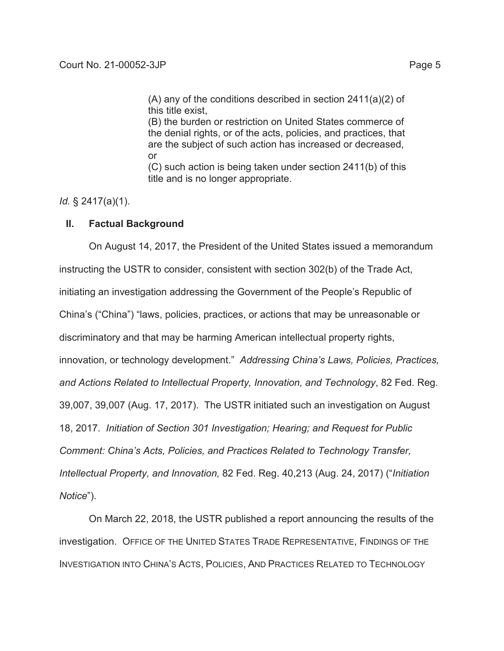(B) the burden or restriction on United States commerce of the denial rights, or of the acts, policies, and practices, that are the subject of such action has increased or decreased, or

(C) such action is being taken under section 2411(b) of this title and is no longer appropriate.

*Id.* § 2417(a)(1).

## **II. Factual Background**

On August 14, 2017, the President of the United States issued a memorandum instructing the USTR to consider, consistent with section 302(b) of the Trade Act, initiating an investigation addressing the Government of the People's Republic of China's ("China") "laws, policies, practices, or actions that may be unreasonable or discriminatory and that may be harming American intellectual property rights, innovation, or technology development." *Addressing China's Laws, Policies, Practices, and Actions Related to Intellectual Property, Innovation, and Technology*, 82 Fed. Reg. 39,007, 39,007 (Aug. 17, 2017). The USTR initiated such an investigation on August 18, 2017. *Initiation of Section 301 Investigation; Hearing; and Request for Public Comment: China's Acts, Policies, and Practices Related to Technology Transfer, Intellectual Property, and Innovation,* 82 Fed. Reg. 40,213 (Aug. 24, 2017) ("*Initiation Notice*").

On March 22, 2018, the USTR published a report announcing the results of the investigation. OFFICE OF THE UNITED STATES TRADE REPRESENTATIVE, FINDINGS OF THE INVESTIGATION INTO CHINA'S ACTS, POLICIES, AND PRACTICES RELATED TO TECHNOLOGY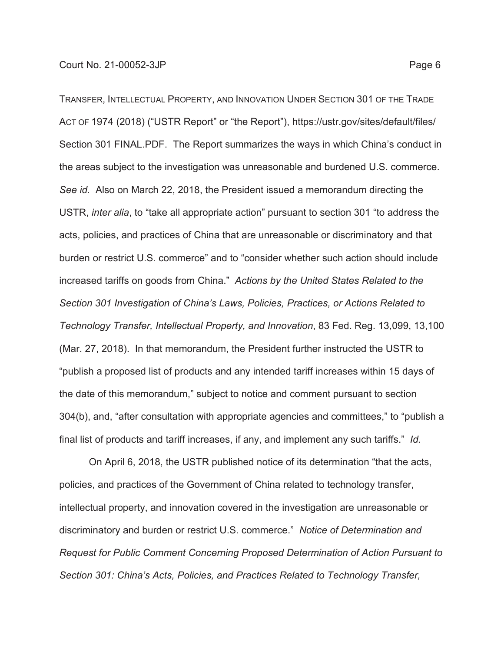TRANSFER, INTELLECTUAL PROPERTY, AND INNOVATION UNDER SECTION 301 OF THE TRADE ACT OF 1974 (2018) ("USTR Report" or "the Report"), https://ustr.gov/sites/default/files/ Section 301 FINAL.PDF. The Report summarizes the ways in which China's conduct in the areas subject to the investigation was unreasonable and burdened U.S. commerce. *See id.* Also on March 22, 2018, the President issued a memorandum directing the USTR, *inter alia*, to "take all appropriate action" pursuant to section 301 "to address the acts, policies, and practices of China that are unreasonable or discriminatory and that burden or restrict U.S. commerce" and to "consider whether such action should include increased tariffs on goods from China." *Actions by the United States Related to the Section 301 Investigation of China's Laws, Policies, Practices, or Actions Related to Technology Transfer, Intellectual Property, and Innovation*, 83 Fed. Reg. 13,099, 13,100 (Mar. 27, 2018). In that memorandum, the President further instructed the USTR to "publish a proposed list of products and any intended tariff increases within 15 days of the date of this memorandum," subject to notice and comment pursuant to section 304(b), and, "after consultation with appropriate agencies and committees," to "publish a final list of products and tariff increases, if any, and implement any such tariffs." *Id.* 

On April 6, 2018, the USTR published notice of its determination "that the acts, policies, and practices of the Government of China related to technology transfer, intellectual property, and innovation covered in the investigation are unreasonable or discriminatory and burden or restrict U.S. commerce." *Notice of Determination and Request for Public Comment Concerning Proposed Determination of Action Pursuant to Section 301: China's Acts, Policies, and Practices Related to Technology Transfer,*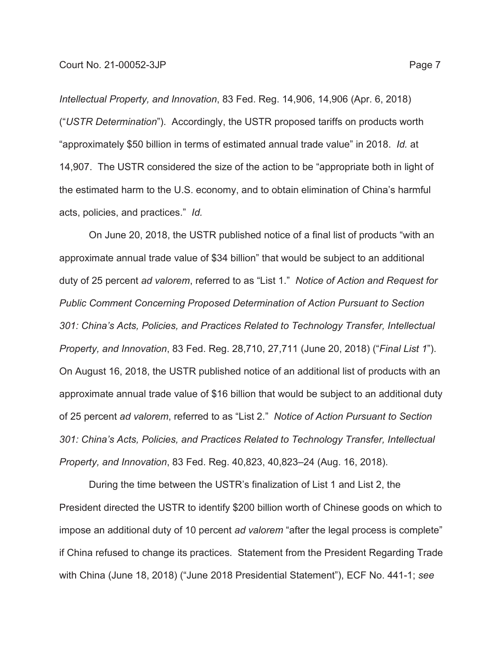*Intellectual Property, and Innovation*, 83 Fed. Reg. 14,906, 14,906 (Apr. 6, 2018) ("*USTR Determination*"). Accordingly, the USTR proposed tariffs on products worth "approximately \$50 billion in terms of estimated annual trade value" in 2018. *Id.* at 14,907. The USTR considered the size of the action to be "appropriate both in light of the estimated harm to the U.S. economy, and to obtain elimination of China's harmful acts, policies, and practices." *Id.*

On June 20, 2018, the USTR published notice of a final list of products "with an approximate annual trade value of \$34 billion" that would be subject to an additional duty of 25 percent *ad valorem*, referred to as "List 1." *Notice of Action and Request for Public Comment Concerning Proposed Determination of Action Pursuant to Section 301: China's Acts, Policies, and Practices Related to Technology Transfer, Intellectual Property, and Innovation*, 83 Fed. Reg. 28,710, 27,711 (June 20, 2018) ("*Final List 1*"). On August 16, 2018, the USTR published notice of an additional list of products with an approximate annual trade value of \$16 billion that would be subject to an additional duty of 25 percent *ad valorem*, referred to as "List 2." *Notice of Action Pursuant to Section 301: China's Acts, Policies, and Practices Related to Technology Transfer, Intellectual Property, and Innovation*, 83 Fed. Reg. 40,823, 40,823–24 (Aug. 16, 2018).

During the time between the USTR's finalization of List 1 and List 2, the President directed the USTR to identify \$200 billion worth of Chinese goods on which to impose an additional duty of 10 percent *ad valorem* "after the legal process is complete" if China refused to change its practices. Statement from the President Regarding Trade with China (June 18, 2018) ("June 2018 Presidential Statement"), ECF No. 441-1; *see*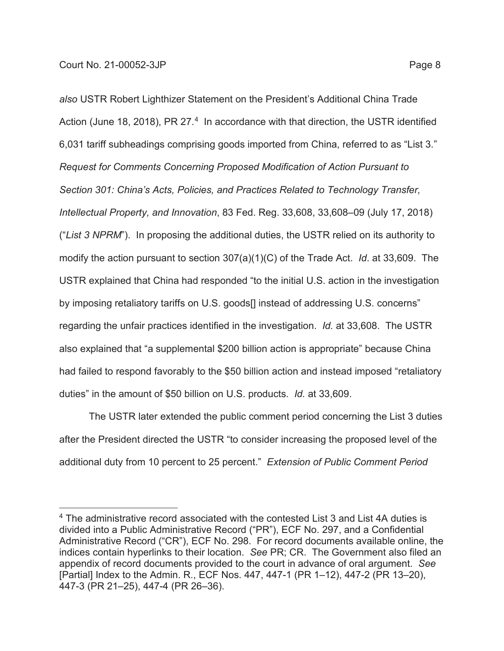*also* USTR Robert Lighthizer Statement on the President's Additional China Trade Action (June 18, 2018), PR 27.4 In accordance with that direction, the USTR identified 6,031 tariff subheadings comprising goods imported from China, referred to as "List 3*.*" *Request for Comments Concerning Proposed Modification of Action Pursuant to Section 301: China's Acts, Policies, and Practices Related to Technology Transfer, Intellectual Property, and Innovation*, 83 Fed. Reg. 33,608, 33,608–09 (July 17, 2018) ("*List 3 NPRM*"). In proposing the additional duties, the USTR relied on its authority to modify the action pursuant to section 307(a)(1)(C) of the Trade Act. *Id*. at 33,609. The USTR explained that China had responded "to the initial U.S. action in the investigation by imposing retaliatory tariffs on U.S. goods[] instead of addressing U.S. concerns" regarding the unfair practices identified in the investigation. *Id.* at 33,608. The USTR also explained that "a supplemental \$200 billion action is appropriate" because China had failed to respond favorably to the \$50 billion action and instead imposed "retaliatory duties" in the amount of \$50 billion on U.S. products. *Id.* at 33,609.

The USTR later extended the public comment period concerning the List 3 duties after the President directed the USTR "to consider increasing the proposed level of the additional duty from 10 percent to 25 percent." *Extension of Public Comment Period* 

<sup>4</sup> The administrative record associated with the contested List 3 and List 4A duties is divided into a Public Administrative Record ("PR"), ECF No. 297, and a Confidential Administrative Record ("CR"), ECF No. 298. For record documents available online, the indices contain hyperlinks to their location. *See* PR; CR. The Government also filed an appendix of record documents provided to the court in advance of oral argument. *See* [Partial] Index to the Admin. R., ECF Nos. 447, 447-1 (PR 1–12), 447-2 (PR 13–20), 447-3 (PR 21–25), 447-4 (PR 26–36).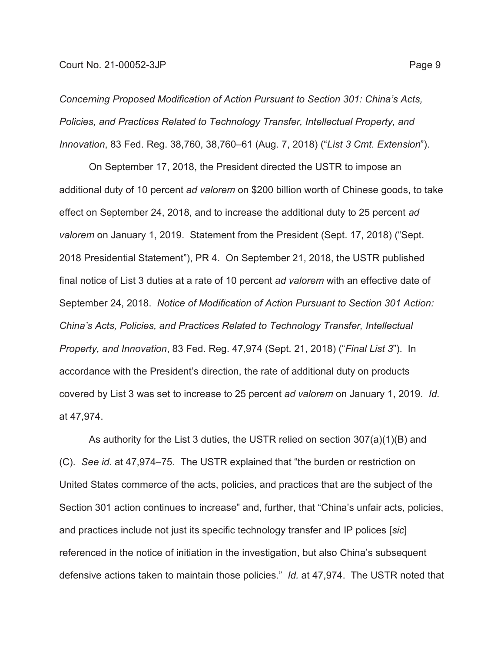*Concerning Proposed Modification of Action Pursuant to Section 301: China's Acts, Policies, and Practices Related to Technology Transfer, Intellectual Property, and Innovation*, 83 Fed. Reg. 38,760, 38,760–61 (Aug. 7, 2018) ("*List 3 Cmt. Extension*").

On September 17, 2018, the President directed the USTR to impose an additional duty of 10 percent *ad valorem* on \$200 billion worth of Chinese goods, to take effect on September 24, 2018, and to increase the additional duty to 25 percent *ad valorem* on January 1, 2019. Statement from the President (Sept. 17, 2018) ("Sept. 2018 Presidential Statement"), PR 4.On September 21, 2018, the USTR published final notice of List 3 duties at a rate of 10 percent *ad valorem* with an effective date of September 24, 2018. *Notice of Modification of Action Pursuant to Section 301 Action: China's Acts, Policies, and Practices Related to Technology Transfer, Intellectual Property, and Innovation*, 83 Fed. Reg. 47,974 (Sept. 21, 2018) ("*Final List 3*"). In accordance with the President's direction, the rate of additional duty on products covered by List 3 was set to increase to 25 percent *ad valorem* on January 1, 2019. *Id.* at 47,974.

As authority for the List 3 duties, the USTR relied on section 307(a)(1)(B) and (C). *See id.* at 47,974–75. The USTR explained that "the burden or restriction on United States commerce of the acts, policies, and practices that are the subject of the Section 301 action continues to increase" and, further, that "China's unfair acts, policies, and practices include not just its specific technology transfer and IP polices [*sic*] referenced in the notice of initiation in the investigation, but also China's subsequent defensive actions taken to maintain those policies." *Id.* at 47,974. The USTR noted that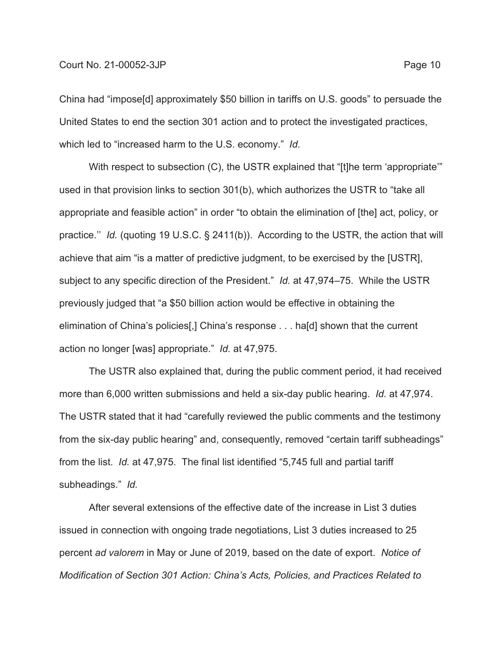### Court No. 21-00052-3JP Page 10

China had "impose[d] approximately \$50 billion in tariffs on U.S. goods" to persuade the United States to end the section 301 action and to protect the investigated practices, which led to "increased harm to the U.S. economy." *Id.*

With respect to subsection (C), the USTR explained that "[t]he term 'appropriate'" used in that provision links to section 301(b), which authorizes the USTR to "take all appropriate and feasible action" in order "to obtain the elimination of [the] act, policy, or practice.'' *Id.* (quoting 19 U.S.C. § 2411(b)). According to the USTR, the action that will achieve that aim "is a matter of predictive judgment, to be exercised by the [USTR], subject to any specific direction of the President." *Id.* at 47,974–75. While the USTR previously judged that "a \$50 billion action would be effective in obtaining the elimination of China's policies[,] China's response . . . ha[d] shown that the current action no longer [was] appropriate." *Id.* at 47,975.

The USTR also explained that, during the public comment period, it had received more than 6,000 written submissions and held a six-day public hearing. *Id.* at 47,974. The USTR stated that it had "carefully reviewed the public comments and the testimony from the six-day public hearing" and, consequently, removed "certain tariff subheadings" from the list. *Id.* at 47,975. The final list identified "5,745 full and partial tariff subheadings." *Id.*

After several extensions of the effective date of the increase in List 3 duties issued in connection with ongoing trade negotiations, List 3 duties increased to 25 percent *ad valorem* in May or June of 2019, based on the date of export. *Notice of Modification of Section 301 Action: China's Acts, Policies, and Practices Related to*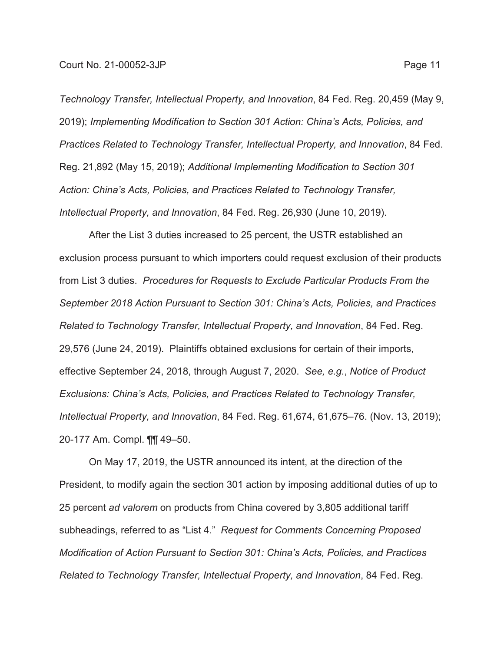Court No. 21-00052-3JP Page 11

*Technology Transfer, Intellectual Property, and Innovation*, 84 Fed. Reg. 20,459 (May 9, 2019); *Implementing Modification to Section 301 Action: China's Acts, Policies, and Practices Related to Technology Transfer, Intellectual Property, and Innovation*, 84 Fed. Reg. 21,892 (May 15, 2019); *Additional Implementing Modification to Section 301 Action: China's Acts, Policies, and Practices Related to Technology Transfer, Intellectual Property, and Innovation*, 84 Fed. Reg. 26,930 (June 10, 2019).

After the List 3 duties increased to 25 percent, the USTR established an exclusion process pursuant to which importers could request exclusion of their products from List 3 duties. *Procedures for Requests to Exclude Particular Products From the September 2018 Action Pursuant to Section 301: China's Acts, Policies, and Practices Related to Technology Transfer, Intellectual Property, and Innovation*, 84 Fed. Reg. 29,576 (June 24, 2019). Plaintiffs obtained exclusions for certain of their imports, effective September 24, 2018, through August 7, 2020. *See, e.g.*, *Notice of Product Exclusions: China's Acts, Policies, and Practices Related to Technology Transfer, Intellectual Property, and Innovation*, 84 Fed. Reg. 61,674, 61,675–76. (Nov. 13, 2019); 20-177 Am. Compl. ¶¶ 49–50.

On May 17, 2019, the USTR announced its intent, at the direction of the President, to modify again the section 301 action by imposing additional duties of up to 25 percent *ad valorem* on products from China covered by 3,805 additional tariff subheadings, referred to as "List 4." *Request for Comments Concerning Proposed Modification of Action Pursuant to Section 301: China's Acts, Policies, and Practices Related to Technology Transfer, Intellectual Property, and Innovation*, 84 Fed. Reg.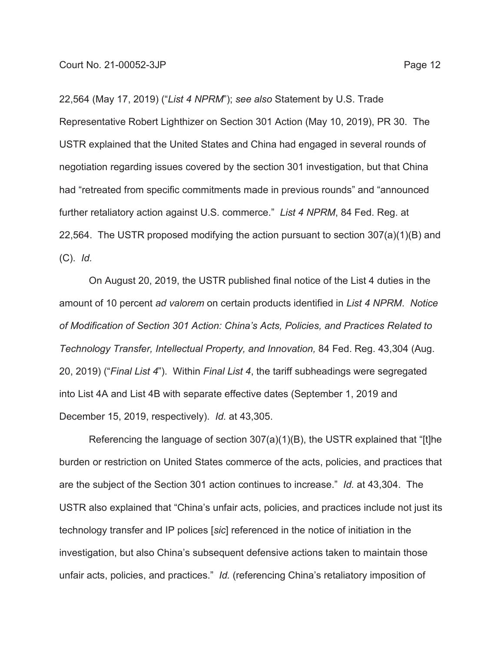22,564 (May 17, 2019) ("*List 4 NPRM*"); *see also* Statement by U.S. Trade Representative Robert Lighthizer on Section 301 Action (May 10, 2019), PR 30. The USTR explained that the United States and China had engaged in several rounds of negotiation regarding issues covered by the section 301 investigation, but that China had "retreated from specific commitments made in previous rounds" and "announced further retaliatory action against U.S. commerce." *List 4 NPRM*, 84 Fed. Reg. at 22,564. The USTR proposed modifying the action pursuant to section 307(a)(1)(B) and (C). *Id.*

On August 20, 2019, the USTR published final notice of the List 4 duties in the amount of 10 percent *ad valorem* on certain products identified in *List 4 NPRM*. *Notice of Modification of Section 301 Action: China's Acts, Policies, and Practices Related to Technology Transfer, Intellectual Property, and Innovation,* 84 Fed. Reg. 43,304 (Aug. 20, 2019) ("*Final List 4*"). Within *Final List 4*, the tariff subheadings were segregated into List 4A and List 4B with separate effective dates (September 1, 2019 and December 15, 2019, respectively). *Id.* at 43,305.

Referencing the language of section 307(a)(1)(B), the USTR explained that "[t]he burden or restriction on United States commerce of the acts, policies, and practices that are the subject of the Section 301 action continues to increase." *Id.* at 43,304. The USTR also explained that "China's unfair acts, policies, and practices include not just its technology transfer and IP polices [*sic*] referenced in the notice of initiation in the investigation, but also China's subsequent defensive actions taken to maintain those unfair acts, policies, and practices." *Id.* (referencing China's retaliatory imposition of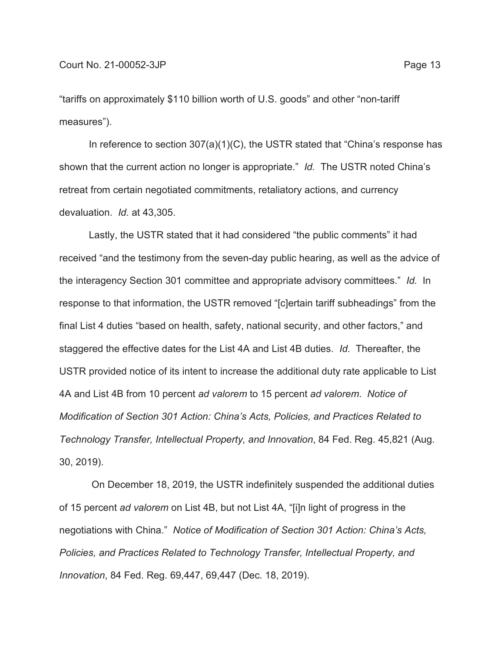"tariffs on approximately \$110 billion worth of U.S. goods" and other "non-tariff measures").

In reference to section 307(a)(1)(C), the USTR stated that "China's response has shown that the current action no longer is appropriate." *Id.* The USTR noted China's retreat from certain negotiated commitments, retaliatory actions, and currency devaluation. *Id.* at 43,305.

Lastly, the USTR stated that it had considered "the public comments" it had received "and the testimony from the seven-day public hearing, as well as the advice of the interagency Section 301 committee and appropriate advisory committees." *Id.* In response to that information, the USTR removed "[c]ertain tariff subheadings" from the final List 4 duties "based on health, safety, national security, and other factors," and staggered the effective dates for the List 4A and List 4B duties. *Id.* Thereafter, the USTR provided notice of its intent to increase the additional duty rate applicable to List 4A and List 4B from 10 percent *ad valorem* to 15 percent *ad valorem*. *Notice of Modification of Section 301 Action: China's Acts, Policies, and Practices Related to Technology Transfer, Intellectual Property, and Innovation*, 84 Fed. Reg. 45,821 (Aug. 30, 2019).

 On December 18, 2019, the USTR indefinitely suspended the additional duties of 15 percent *ad valorem* on List 4B, but not List 4A, "[i]n light of progress in the negotiations with China." *Notice of Modification of Section 301 Action: China's Acts, Policies, and Practices Related to Technology Transfer, Intellectual Property, and Innovation*, 84 Fed. Reg. 69,447, 69,447 (Dec. 18, 2019).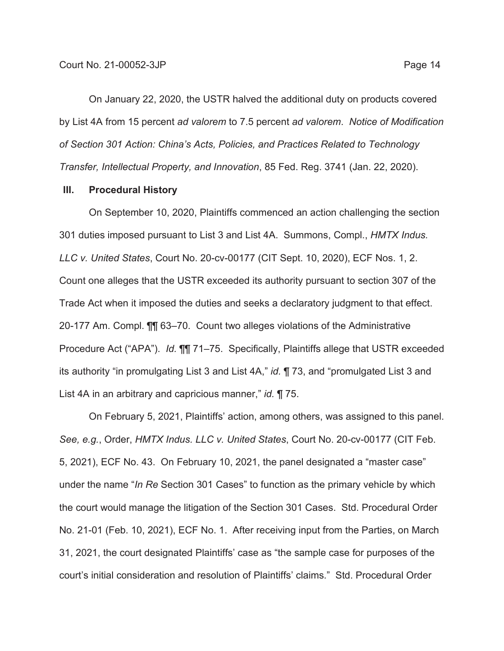On January 22, 2020, the USTR halved the additional duty on products covered by List 4A from 15 percent *ad valorem* to 7.5 percent *ad valorem*. *Notice of Modification of Section 301 Action: China's Acts, Policies, and Practices Related to Technology Transfer, Intellectual Property, and Innovation*, 85 Fed. Reg. 3741 (Jan. 22, 2020).

### **III. Procedural History**

On September 10, 2020, Plaintiffs commenced an action challenging the section 301 duties imposed pursuant to List 3 and List 4A. Summons, Compl., *HMTX Indus. LLC v. United States*, Court No. 20-cv-00177 (CIT Sept. 10, 2020), ECF Nos. 1, 2. Count one alleges that the USTR exceeded its authority pursuant to section 307 of the Trade Act when it imposed the duties and seeks a declaratory judgment to that effect. 20-177 Am. Compl. ¶¶ 63–70. Count two alleges violations of the Administrative Procedure Act ("APA"). *Id.* ¶¶ 71–75. Specifically, Plaintiffs allege that USTR exceeded its authority "in promulgating List 3 and List 4A," *id.* ¶ 73, and "promulgated List 3 and List 4A in an arbitrary and capricious manner," *id.* ¶ 75.

On February 5, 2021, Plaintiffs' action, among others, was assigned to this panel. *See, e.g.*, Order, *HMTX Indus. LLC v. United States*, Court No. 20-cv-00177 (CIT Feb. 5, 2021), ECF No. 43. On February 10, 2021, the panel designated a "master case" under the name "*In Re* Section 301 Cases" to function as the primary vehicle by which the court would manage the litigation of the Section 301 Cases. Std. Procedural Order No. 21-01 (Feb. 10, 2021), ECF No. 1. After receiving input from the Parties, on March 31, 2021, the court designated Plaintiffs' case as "the sample case for purposes of the court's initial consideration and resolution of Plaintiffs' claims." Std. Procedural Order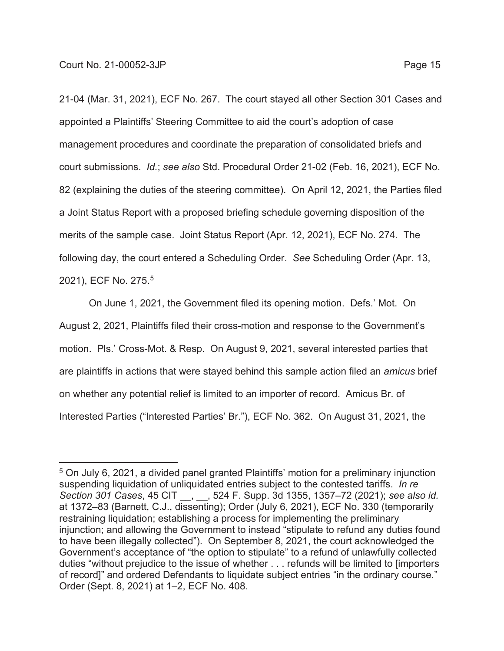21-04 (Mar. 31, 2021), ECF No. 267. The court stayed all other Section 301 Cases and appointed a Plaintiffs' Steering Committee to aid the court's adoption of case management procedures and coordinate the preparation of consolidated briefs and court submissions. *Id.*; *see also* Std. Procedural Order 21-02 (Feb. 16, 2021), ECF No. 82 (explaining the duties of the steering committee). On April 12, 2021, the Parties filed a Joint Status Report with a proposed briefing schedule governing disposition of the merits of the sample case. Joint Status Report (Apr. 12, 2021), ECF No. 274. The following day, the court entered a Scheduling Order. *See* Scheduling Order (Apr. 13, 2021), ECF No. 275.5

On June 1, 2021, the Government filed its opening motion. Defs.' Mot. On August 2, 2021, Plaintiffs filed their cross-motion and response to the Government's motion. Pls.' Cross-Mot. & Resp. On August 9, 2021, several interested parties that are plaintiffs in actions that were stayed behind this sample action filed an *amicus* brief on whether any potential relief is limited to an importer of record. Amicus Br. of Interested Parties ("Interested Parties' Br."), ECF No. 362. On August 31, 2021, the

<sup>5</sup> On July 6, 2021, a divided panel granted Plaintiffs' motion for a preliminary injunction suspending liquidation of unliquidated entries subject to the contested tariffs. *In re Section 301 Cases*, 45 CIT \_\_, \_\_, 524 F. Supp. 3d 1355, 1357–72 (2021); *see also id.* at 1372–83 (Barnett, C.J., dissenting); Order (July 6, 2021), ECF No. 330 (temporarily restraining liquidation; establishing a process for implementing the preliminary injunction; and allowing the Government to instead "stipulate to refund any duties found to have been illegally collected"). On September 8, 2021, the court acknowledged the Government's acceptance of "the option to stipulate" to a refund of unlawfully collected duties "without prejudice to the issue of whether . . . refunds will be limited to [importers of record]" and ordered Defendants to liquidate subject entries "in the ordinary course." Order (Sept. 8, 2021) at 1–2, ECF No. 408.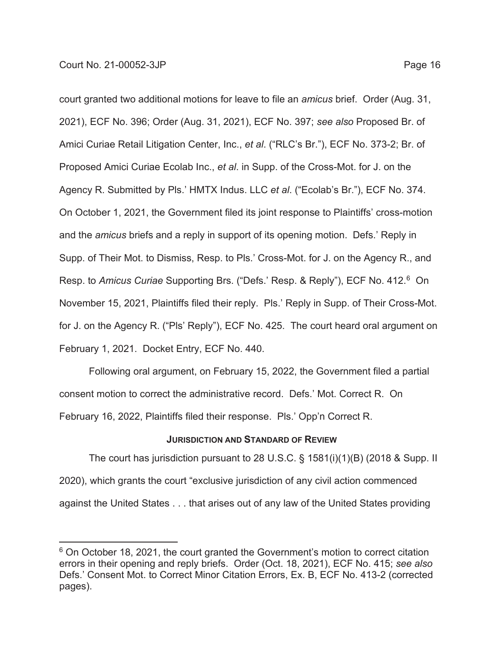court granted two additional motions for leave to file an *amicus* brief. Order (Aug. 31, 2021), ECF No. 396; Order (Aug. 31, 2021), ECF No. 397; *see also* Proposed Br. of Amici Curiae Retail Litigation Center, Inc., *et al*. ("RLC's Br."), ECF No. 373-2; Br. of Proposed Amici Curiae Ecolab Inc., *et al*. in Supp. of the Cross-Mot. for J. on the Agency R. Submitted by Pls.' HMTX Indus. LLC *et al*. ("Ecolab's Br."), ECF No. 374. On October 1, 2021, the Government filed its joint response to Plaintiffs' cross-motion and the *amicus* briefs and a reply in support of its opening motion. Defs.' Reply in Supp. of Their Mot. to Dismiss, Resp. to Pls.' Cross-Mot. for J. on the Agency R., and Resp. to *Amicus Curiae* Supporting Brs. ("Defs.' Resp. & Reply"), ECF No. 412.6 On November 15, 2021, Plaintiffs filed their reply. Pls.' Reply in Supp. of Their Cross-Mot. for J. on the Agency R. ("Pls' Reply"), ECF No. 425. The court heard oral argument on February 1, 2021. Docket Entry, ECF No. 440.

Following oral argument, on February 15, 2022, the Government filed a partial consent motion to correct the administrative record. Defs.' Mot. Correct R. On February 16, 2022, Plaintiffs filed their response. Pls.' Opp'n Correct R.

#### **JURISDICTION AND STANDARD OF REVIEW**

The court has jurisdiction pursuant to 28 U.S.C. § 1581(i)(1)(B) (2018 & Supp. II 2020), which grants the court "exclusive jurisdiction of any civil action commenced against the United States . . . that arises out of any law of the United States providing

<sup>&</sup>lt;sup>6</sup> On October 18, 2021, the court granted the Government's motion to correct citation errors in their opening and reply briefs. Order (Oct. 18, 2021), ECF No. 415; *see also* Defs.' Consent Mot. to Correct Minor Citation Errors, Ex. B, ECF No. 413-2 (corrected pages).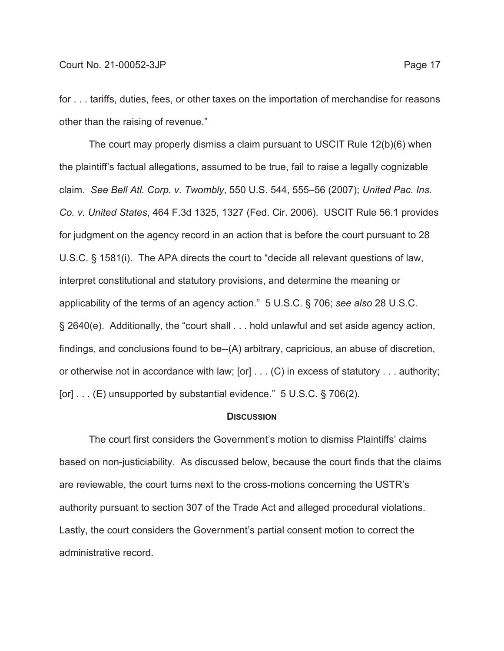for . . . tariffs, duties, fees, or other taxes on the importation of merchandise for reasons other than the raising of revenue."

The court may properly dismiss a claim pursuant to USCIT Rule 12(b)(6) when the plaintiff's factual allegations, assumed to be true, fail to raise a legally cognizable claim. *See Bell Atl. Corp. v. Twombly*, 550 U.S. 544, 555–56 (2007); *United Pac. Ins. Co. v. United States*, 464 F.3d 1325, 1327 (Fed. Cir. 2006). USCIT Rule 56.1 provides for judgment on the agency record in an action that is before the court pursuant to 28 U.S.C. § 1581(i). The APA directs the court to "decide all relevant questions of law, interpret constitutional and statutory provisions, and determine the meaning or applicability of the terms of an agency action." 5 U.S.C. § 706; *see also* 28 U.S.C. § 2640(e). Additionally, the "court shall . . . hold unlawful and set aside agency action, findings, and conclusions found to be--(A) arbitrary, capricious, an abuse of discretion, or otherwise not in accordance with law; [or] . . . (C) in excess of statutory . . . authority; [or] . . . (E) unsupported by substantial evidence." 5 U.S.C. § 706(2).

#### **DISCUSSION**

The court first considers the Government's motion to dismiss Plaintiffs' claims based on non-justiciability. As discussed below, because the court finds that the claims are reviewable, the court turns next to the cross-motions concerning the USTR's authority pursuant to section 307 of the Trade Act and alleged procedural violations. Lastly, the court considers the Government's partial consent motion to correct the administrative record.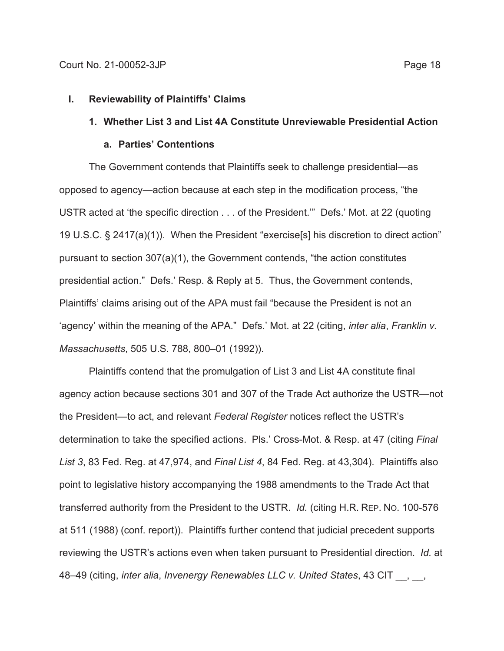#### **I. Reviewability of Plaintiffs' Claims**

## **1. Whether List 3 and List 4A Constitute Unreviewable Presidential Action**

### **a. Parties' Contentions**

The Government contends that Plaintiffs seek to challenge presidential—as opposed to agency—action because at each step in the modification process, "the USTR acted at 'the specific direction . . . of the President.'" Defs.' Mot. at 22 (quoting 19 U.S.C. § 2417(a)(1)). When the President "exercise[s] his discretion to direct action" pursuant to section 307(a)(1), the Government contends, "the action constitutes presidential action." Defs.' Resp. & Reply at 5. Thus, the Government contends, Plaintiffs' claims arising out of the APA must fail "because the President is not an 'agency' within the meaning of the APA." Defs.' Mot. at 22 (citing, *inter alia*, *Franklin v. Massachusetts*, 505 U.S. 788, 800–01 (1992)).

Plaintiffs contend that the promulgation of List 3 and List 4A constitute final agency action because sections 301 and 307 of the Trade Act authorize the USTR—not the President—to act, and relevant *Federal Register* notices reflect the USTR's determination to take the specified actions. Pls.' Cross-Mot. & Resp. at 47 (citing *Final List 3*, 83 Fed. Reg. at 47,974, and *Final List 4*, 84 Fed. Reg. at 43,304). Plaintiffs also point to legislative history accompanying the 1988 amendments to the Trade Act that transferred authority from the President to the USTR. *Id.* (citing H.R. REP. NO. 100-576 at 511 (1988) (conf. report)). Plaintiffs further contend that judicial precedent supports reviewing the USTR's actions even when taken pursuant to Presidential direction. *Id.* at 48–49 (citing, *inter alia*, *Invenergy Renewables LLC v. United States*, 43 CIT \_\_, \_\_,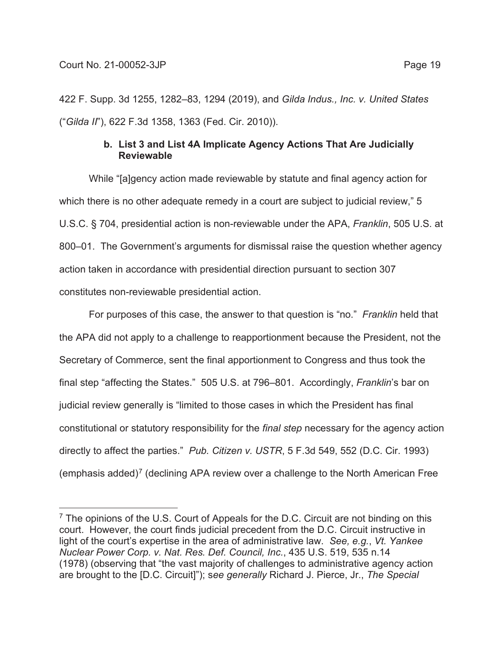422 F. Supp. 3d 1255, 1282–83, 1294 (2019), and *Gilda Indus., Inc. v. United States* ("*Gilda II*"), 622 F.3d 1358, 1363 (Fed. Cir. 2010)).

## **b. List 3 and List 4A Implicate Agency Actions That Are Judicially Reviewable**

While "[a]gency action made reviewable by statute and final agency action for which there is no other adequate remedy in a court are subject to judicial review," 5 U.S.C. § 704, presidential action is non-reviewable under the APA, *Franklin*, 505 U.S. at 800–01. The Government's arguments for dismissal raise the question whether agency action taken in accordance with presidential direction pursuant to section 307 constitutes non-reviewable presidential action.

For purposes of this case, the answer to that question is "no." *Franklin* held that the APA did not apply to a challenge to reapportionment because the President, not the Secretary of Commerce, sent the final apportionment to Congress and thus took the final step "affecting the States." 505 U.S. at 796–801. Accordingly, *Franklin*'s bar on judicial review generally is "limited to those cases in which the President has final constitutional or statutory responsibility for the *final step* necessary for the agency action directly to affect the parties." *Pub. Citizen v. USTR*, 5 F.3d 549, 552 (D.C. Cir. 1993) (emphasis added)<sup>7</sup> (declining APA review over a challenge to the North American Free

<sup>&</sup>lt;sup>7</sup> The opinions of the U.S. Court of Appeals for the D.C. Circuit are not binding on this court. However, the court finds judicial precedent from the D.C. Circuit instructive in light of the court's expertise in the area of administrative law. *See, e.g.*, *Vt. Yankee Nuclear Power Corp. v. Nat. Res. Def. Council, Inc.*, 435 U.S. 519, 535 n.14 (1978) (observing that "the vast majority of challenges to administrative agency action are brought to the [D.C. Circuit]"); s*ee generally* Richard J. Pierce, Jr., *The Special*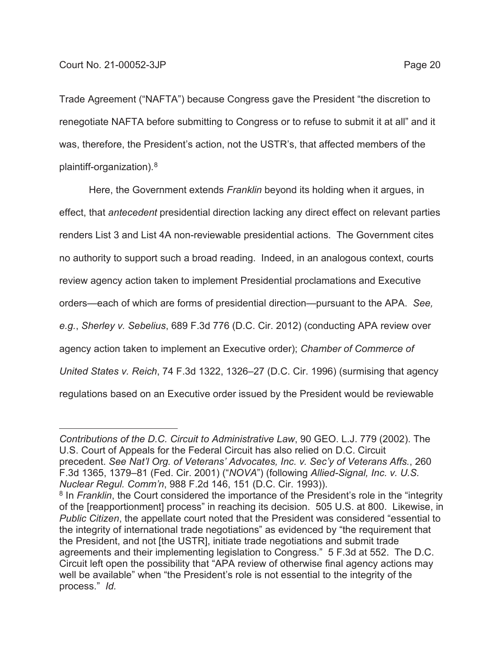Trade Agreement ("NAFTA") because Congress gave the President "the discretion to renegotiate NAFTA before submitting to Congress or to refuse to submit it at all" and it was, therefore, the President's action, not the USTR's, that affected members of the plaintiff-organization).8

Here, the Government extends *Franklin* beyond its holding when it argues, in effect, that *antecedent* presidential direction lacking any direct effect on relevant parties renders List 3 and List 4A non-reviewable presidential actions. The Government cites no authority to support such a broad reading. Indeed, in an analogous context, courts review agency action taken to implement Presidential proclamations and Executive orders—each of which are forms of presidential direction—pursuant to the APA. *See, e.g.*, *Sherley v. Sebelius*, 689 F.3d 776 (D.C. Cir. 2012) (conducting APA review over agency action taken to implement an Executive order); *Chamber of Commerce of United States v. Reich*, 74 F.3d 1322, 1326–27 (D.C. Cir. 1996) (surmising that agency regulations based on an Executive order issued by the President would be reviewable

*Contributions of the D.C. Circuit to Administrative Law*, 90 GEO. L.J. 779 (2002). The U.S. Court of Appeals for the Federal Circuit has also relied on D.C. Circuit precedent. *See Nat'l Org. of Veterans' Advocates, Inc. v. Sec'y of Veterans Affs.*, 260 F.3d 1365, 1379–81 (Fed. Cir. 2001) ("*NOVA*") (following *Allied-Signal, Inc. v. U.S. Nuclear Regul. Comm'n*, 988 F.2d 146, 151 (D.C. Cir. 1993)).

<sup>&</sup>lt;sup>8</sup> In *Franklin*, the Court considered the importance of the President's role in the "integrity of the [reapportionment] process" in reaching its decision. 505 U.S. at 800. Likewise, in *Public Citizen*, the appellate court noted that the President was considered "essential to the integrity of international trade negotiations" as evidenced by "the requirement that the President, and not [the USTR], initiate trade negotiations and submit trade agreements and their implementing legislation to Congress." 5 F.3d at 552. The D.C. Circuit left open the possibility that "APA review of otherwise final agency actions may well be available" when "the President's role is not essential to the integrity of the process." *Id.*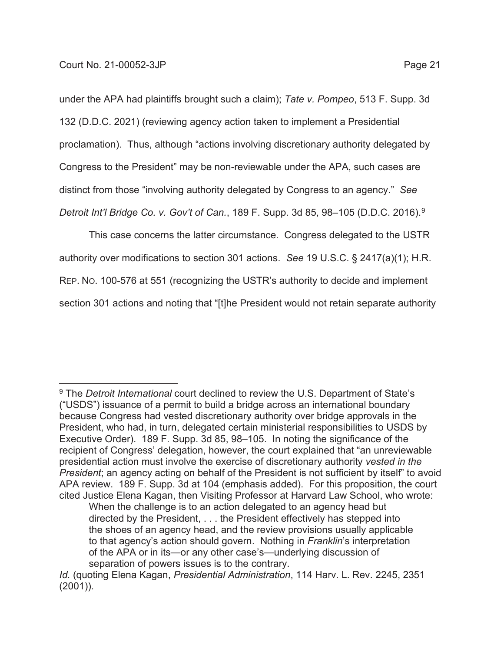under the APA had plaintiffs brought such a claim); *Tate v. Pompeo*, 513 F. Supp. 3d 132 (D.D.C. 2021) (reviewing agency action taken to implement a Presidential proclamation). Thus, although "actions involving discretionary authority delegated by Congress to the President" may be non-reviewable under the APA, such cases are distinct from those "involving authority delegated by Congress to an agency." *See Detroit Int'l Bridge Co. v. Gov't of Can.*, 189 F. Supp. 3d 85, 98–105 (D.D.C. 2016).9

This case concerns the latter circumstance. Congress delegated to the USTR authority over modifications to section 301 actions. *See* 19 U.S.C. § 2417(a)(1); H.R. REP. NO. 100-576 at 551 (recognizing the USTR's authority to decide and implement section 301 actions and noting that "[t]he President would not retain separate authority

<sup>9</sup> The *Detroit International* court declined to review the U.S. Department of State's ("USDS") issuance of a permit to build a bridge across an international boundary because Congress had vested discretionary authority over bridge approvals in the President, who had, in turn, delegated certain ministerial responsibilities to USDS by Executive Order). 189 F. Supp. 3d 85, 98–105. In noting the significance of the recipient of Congress' delegation, however, the court explained that "an unreviewable presidential action must involve the exercise of discretionary authority *vested in the President*; an agency acting on behalf of the President is not sufficient by itself" to avoid APA review. 189 F. Supp. 3d at 104 (emphasis added). For this proposition, the court cited Justice Elena Kagan, then Visiting Professor at Harvard Law School, who wrote:

When the challenge is to an action delegated to an agency head but directed by the President, . . . the President effectively has stepped into the shoes of an agency head, and the review provisions usually applicable to that agency's action should govern. Nothing in *Franklin*'s interpretation of the APA or in its—or any other case's—underlying discussion of separation of powers issues is to the contrary.

*Id.* (quoting Elena Kagan, *Presidential Administration*, 114 Harv. L. Rev. 2245, 2351 (2001)).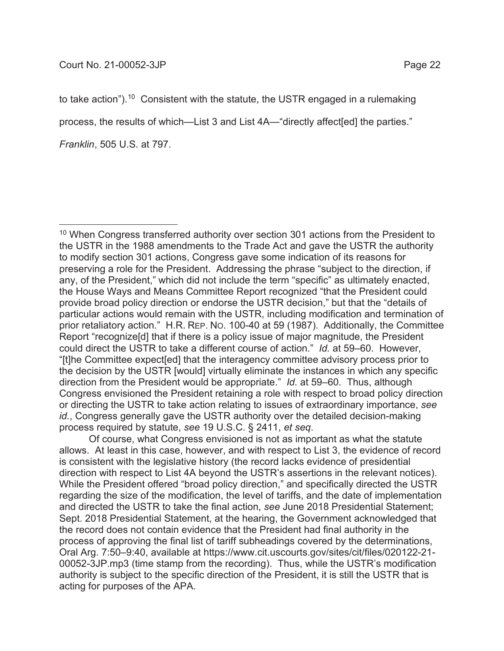to take action").<sup>10</sup> Consistent with the statute, the USTR engaged in a rulemaking

process, the results of which—List 3 and List 4A—"directly affect[ed] the parties."

*Franklin*, 505 U.S. at 797.

 Of course, what Congress envisioned is not as important as what the statute allows. At least in this case, however, and with respect to List 3, the evidence of record is consistent with the legislative history (the record lacks evidence of presidential direction with respect to List 4A beyond the USTR's assertions in the relevant notices). While the President offered "broad policy direction," and specifically directed the USTR regarding the size of the modification, the level of tariffs, and the date of implementation and directed the USTR to take the final action, *see* June 2018 Presidential Statement; Sept. 2018 Presidential Statement, at the hearing, the Government acknowledged that the record does not contain evidence that the President had final authority in the process of approving the final list of tariff subheadings covered by the determinations, Oral Arg. 7:50–9:40, available at https://www.cit.uscourts.gov/sites/cit/files/020122-21- 00052-3JP.mp3 (time stamp from the recording). Thus, while the USTR's modification authority is subject to the specific direction of the President, it is still the USTR that is acting for purposes of the APA.

<sup>&</sup>lt;sup>10</sup> When Congress transferred authority over section 301 actions from the President to the USTR in the 1988 amendments to the Trade Act and gave the USTR the authority to modify section 301 actions, Congress gave some indication of its reasons for preserving a role for the President. Addressing the phrase "subject to the direction, if any, of the President," which did not include the term "specific" as ultimately enacted, the House Ways and Means Committee Report recognized "that the President could provide broad policy direction or endorse the USTR decision," but that the "details of particular actions would remain with the USTR, including modification and termination of prior retaliatory action." H.R. REP. NO. 100-40 at 59 (1987). Additionally, the Committee Report "recognize[d] that if there is a policy issue of major magnitude, the President could direct the USTR to take a different course of action." *Id.* at 59–60. However, "[t]he Committee expect[ed] that the interagency committee advisory process prior to the decision by the USTR [would] virtually eliminate the instances in which any specific direction from the President would be appropriate." *Id.* at 59–60. Thus, although Congress envisioned the President retaining a role with respect to broad policy direction or directing the USTR to take action relating to issues of extraordinary importance, *see id.*, Congress generally gave the USTR authority over the detailed decision-making process required by statute, *see* 19 U.S.C. § 2411, *et seq*.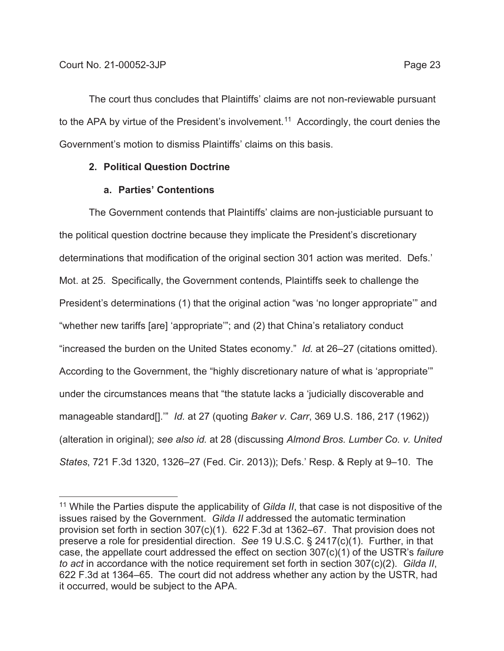The court thus concludes that Plaintiffs' claims are not non-reviewable pursuant to the APA by virtue of the President's involvement.<sup>11</sup> Accordingly, the court denies the Government's motion to dismiss Plaintiffs' claims on this basis.

## **2. Political Question Doctrine**

## **a. Parties' Contentions**

The Government contends that Plaintiffs' claims are non-justiciable pursuant to the political question doctrine because they implicate the President's discretionary determinations that modification of the original section 301 action was merited. Defs.' Mot. at 25. Specifically, the Government contends, Plaintiffs seek to challenge the President's determinations (1) that the original action "was 'no longer appropriate'" and "whether new tariffs [are] 'appropriate'"; and (2) that China's retaliatory conduct "increased the burden on the United States economy." *Id.* at 26–27 (citations omitted). According to the Government, the "highly discretionary nature of what is 'appropriate'" under the circumstances means that "the statute lacks a 'judicially discoverable and manageable standard[].'" *Id.* at 27 (quoting *Baker v. Carr*, 369 U.S. 186, 217 (1962)) (alteration in original); *see also id.* at 28 (discussing *Almond Bros. Lumber Co. v. United States*, 721 F.3d 1320, 1326–27 (Fed. Cir. 2013)); Defs.' Resp. & Reply at 9–10. The

<sup>11</sup> While the Parties dispute the applicability of *Gilda II*, that case is not dispositive of the issues raised by the Government. *Gilda II* addressed the automatic termination provision set forth in section 307(c)(1). 622 F.3d at 1362–67. That provision does not preserve a role for presidential direction. *See* 19 U.S.C. § 2417(c)(1). Further, in that case, the appellate court addressed the effect on section 307(c)(1) of the USTR's *failure to act* in accordance with the notice requirement set forth in section 307(c)(2). *Gilda II*, 622 F.3d at 1364–65. The court did not address whether any action by the USTR, had it occurred, would be subject to the APA.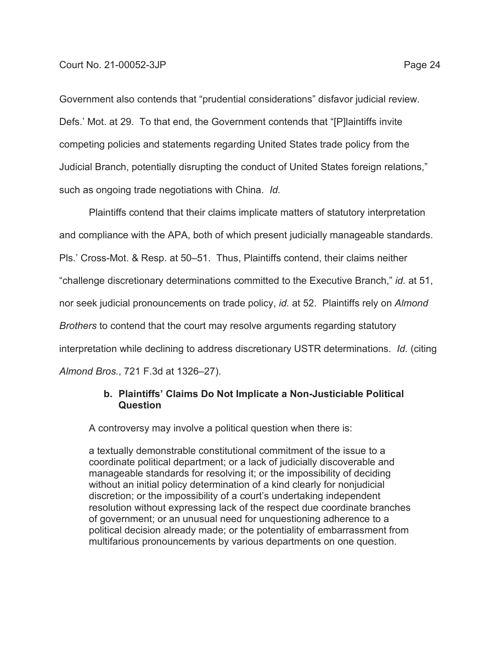Government also contends that "prudential considerations" disfavor judicial review. Defs.' Mot. at 29. To that end, the Government contends that "[P]laintiffs invite competing policies and statements regarding United States trade policy from the Judicial Branch, potentially disrupting the conduct of United States foreign relations," such as ongoing trade negotiations with China. *Id.* 

Plaintiffs contend that their claims implicate matters of statutory interpretation and compliance with the APA, both of which present judicially manageable standards. Pls.' Cross-Mot. & Resp. at 50–51. Thus, Plaintiffs contend, their claims neither "challenge discretionary determinations committed to the Executive Branch," *id.* at 51, nor seek judicial pronouncements on trade policy, *id.* at 52. Plaintiffs rely on *Almond Brothers* to contend that the court may resolve arguments regarding statutory interpretation while declining to address discretionary USTR determinations. *Id.* (citing *Almond Bros.*, 721 F.3d at 1326–27).

## **b. Plaintiffs' Claims Do Not Implicate a Non-Justiciable Political Question**

A controversy may involve a political question when there is:

a textually demonstrable constitutional commitment of the issue to a coordinate political department; or a lack of judicially discoverable and manageable standards for resolving it; or the impossibility of deciding without an initial policy determination of a kind clearly for nonjudicial discretion; or the impossibility of a court's undertaking independent resolution without expressing lack of the respect due coordinate branches of government; or an unusual need for unquestioning adherence to a political decision already made; or the potentiality of embarrassment from multifarious pronouncements by various departments on one question.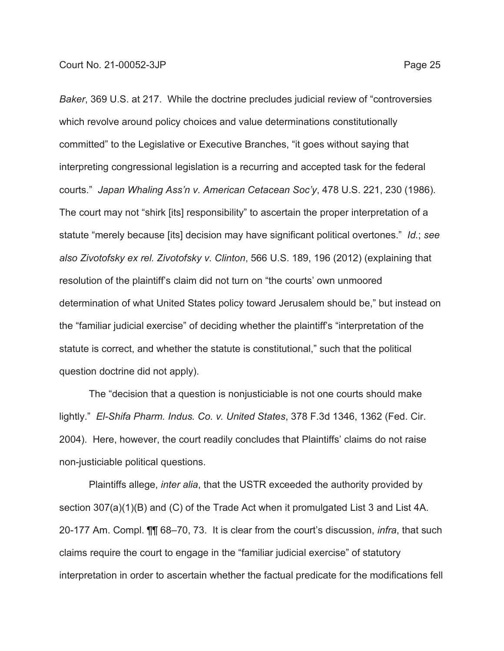*Baker*, 369 U.S. at 217. While the doctrine precludes judicial review of "controversies which revolve around policy choices and value determinations constitutionally committed" to the Legislative or Executive Branches, "it goes without saying that interpreting congressional legislation is a recurring and accepted task for the federal courts." *Japan Whaling Ass'n v. American Cetacean Soc'y*, 478 U.S. 221, 230 (1986). The court may not "shirk [its] responsibility" to ascertain the proper interpretation of a statute "merely because [its] decision may have significant political overtones." *Id.*; *see also Zivotofsky ex rel. Zivotofsky v. Clinton*, 566 U.S. 189, 196 (2012) (explaining that resolution of the plaintiff's claim did not turn on "the courts' own unmoored determination of what United States policy toward Jerusalem should be," but instead on the "familiar judicial exercise" of deciding whether the plaintiff's "interpretation of the statute is correct, and whether the statute is constitutional," such that the political question doctrine did not apply).

The "decision that a question is nonjusticiable is not one courts should make lightly." *El-Shifa Pharm. Indus. Co. v. United States*, 378 F.3d 1346, 1362 (Fed. Cir. 2004). Here, however, the court readily concludes that Plaintiffs' claims do not raise non-justiciable political questions.

Plaintiffs allege, *inter alia*, that the USTR exceeded the authority provided by section 307(a)(1)(B) and (C) of the Trade Act when it promulgated List 3 and List 4A. 20-177 Am. Compl. ¶¶ 68–70, 73. It is clear from the court's discussion, *infra*, that such claims require the court to engage in the "familiar judicial exercise" of statutory interpretation in order to ascertain whether the factual predicate for the modifications fell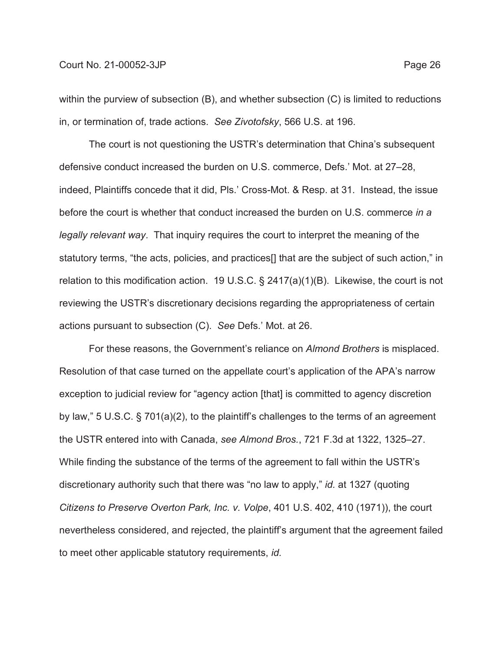### Court No. 21-00052-3JP Page 26

within the purview of subsection (B), and whether subsection (C) is limited to reductions in, or termination of, trade actions. *See Zivotofsky*, 566 U.S. at 196.

The court is not questioning the USTR's determination that China's subsequent defensive conduct increased the burden on U.S. commerce, Defs.' Mot. at 27–28, indeed, Plaintiffs concede that it did, Pls.' Cross-Mot. & Resp. at 31. Instead, the issue before the court is whether that conduct increased the burden on U.S. commerce *in a legally relevant way*. That inquiry requires the court to interpret the meaning of the statutory terms, "the acts, policies, and practices[] that are the subject of such action," in relation to this modification action. 19 U.S.C. § 2417(a)(1)(B). Likewise, the court is not reviewing the USTR's discretionary decisions regarding the appropriateness of certain actions pursuant to subsection (C). *See* Defs.' Mot. at 26.

For these reasons, the Government's reliance on *Almond Brothers* is misplaced. Resolution of that case turned on the appellate court's application of the APA's narrow exception to judicial review for "agency action [that] is committed to agency discretion by law," 5 U.S.C. § 701(a)(2), to the plaintiff's challenges to the terms of an agreement the USTR entered into with Canada, *see Almond Bros.*, 721 F.3d at 1322, 1325–27. While finding the substance of the terms of the agreement to fall within the USTR's discretionary authority such that there was "no law to apply," *id.* at 1327 (quoting *Citizens to Preserve Overton Park, Inc. v. Volpe*, 401 U.S. 402, 410 (1971)), the court nevertheless considered, and rejected, the plaintiff's argument that the agreement failed to meet other applicable statutory requirements, *id.*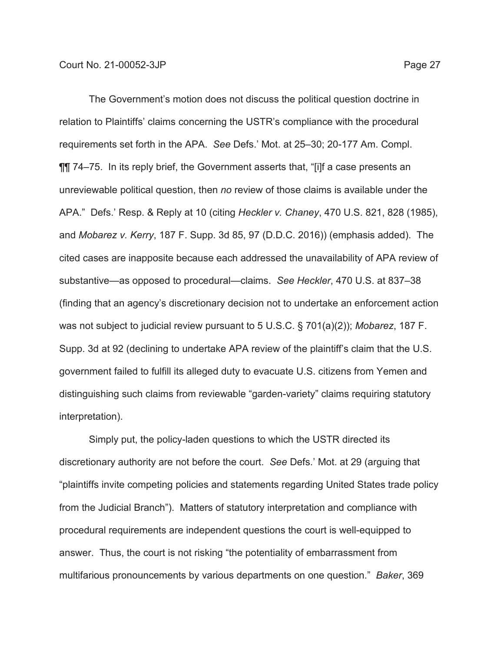The Government's motion does not discuss the political question doctrine in relation to Plaintiffs' claims concerning the USTR's compliance with the procedural requirements set forth in the APA. *See* Defs.' Mot. at 25–30; 20-177 Am. Compl. ¶¶ 74–75. In its reply brief, the Government asserts that, "[i]f a case presents an unreviewable political question, then *no* review of those claims is available under the APA." Defs.' Resp. & Reply at 10 (citing *Heckler v. Chaney*, 470 U.S. 821, 828 (1985), and *Mobarez v. Kerry*, 187 F. Supp. 3d 85, 97 (D.D.C. 2016)) (emphasis added). The cited cases are inapposite because each addressed the unavailability of APA review of substantive—as opposed to procedural—claims. *See Heckler*, 470 U.S. at 837–38 (finding that an agency's discretionary decision not to undertake an enforcement action was not subject to judicial review pursuant to 5 U.S.C. § 701(a)(2)); *Mobarez*, 187 F. Supp. 3d at 92 (declining to undertake APA review of the plaintiff's claim that the U.S. government failed to fulfill its alleged duty to evacuate U.S. citizens from Yemen and distinguishing such claims from reviewable "garden-variety" claims requiring statutory interpretation).

Simply put, the policy-laden questions to which the USTR directed its discretionary authority are not before the court. *See* Defs.' Mot. at 29 (arguing that "plaintiffs invite competing policies and statements regarding United States trade policy from the Judicial Branch"). Matters of statutory interpretation and compliance with procedural requirements are independent questions the court is well-equipped to answer. Thus, the court is not risking "the potentiality of embarrassment from multifarious pronouncements by various departments on one question." *Baker*, 369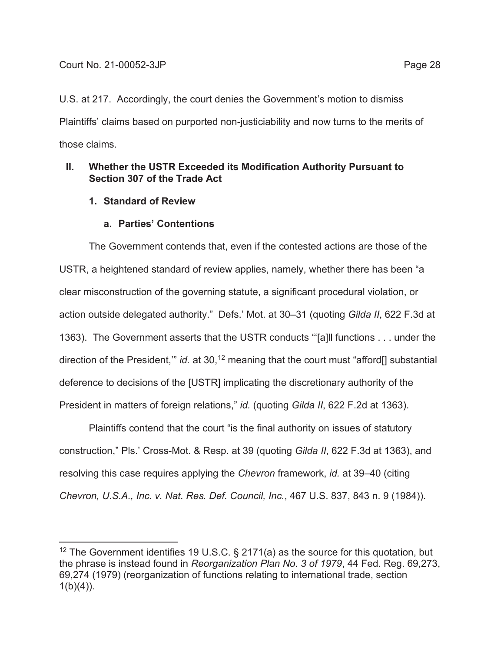U.S. at 217. Accordingly, the court denies the Government's motion to dismiss Plaintiffs' claims based on purported non-justiciability and now turns to the merits of those claims.

# **II. Whether the USTR Exceeded its Modification Authority Pursuant to Section 307 of the Trade Act**

**1. Standard of Review** 

# **a. Parties' Contentions**

The Government contends that, even if the contested actions are those of the USTR, a heightened standard of review applies, namely, whether there has been "a clear misconstruction of the governing statute, a significant procedural violation, or action outside delegated authority." Defs.' Mot. at 30–31 (quoting *Gilda II*, 622 F.3d at 1363). The Government asserts that the USTR conducts "'[a]ll functions . . . under the direction of the President," *id.* at 30,<sup>12</sup> meaning that the court must "afford<sup>[]</sup> substantial deference to decisions of the [USTR] implicating the discretionary authority of the President in matters of foreign relations," *id.* (quoting *Gilda II*, 622 F.2d at 1363).

Plaintiffs contend that the court "is the final authority on issues of statutory construction," Pls.' Cross-Mot. & Resp. at 39 (quoting *Gilda II*, 622 F.3d at 1363), and resolving this case requires applying the *Chevron* framework, *id.* at 39–40 (citing *Chevron, U.S.A., Inc. v. Nat. Res. Def. Council, Inc.*, 467 U.S. 837, 843 n. 9 (1984)).

<sup>&</sup>lt;sup>12</sup> The Government identifies 19 U.S.C. § 2171(a) as the source for this quotation, but the phrase is instead found in *Reorganization Plan No. 3 of 1979*, 44 Fed. Reg. 69,273, 69,274 (1979) (reorganization of functions relating to international trade, section  $1(b)(4)$ ).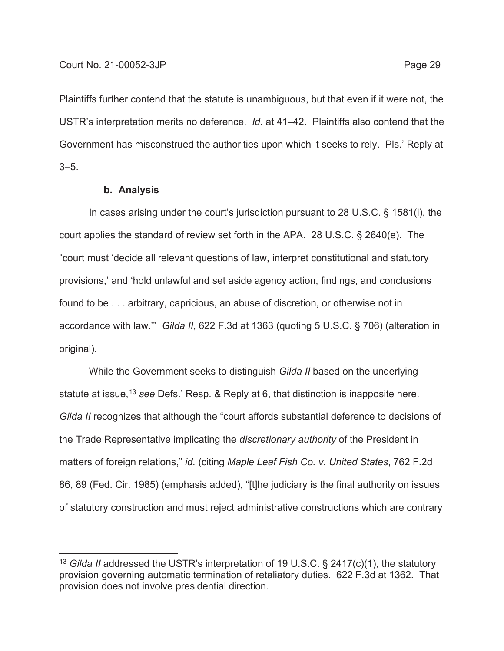Plaintiffs further contend that the statute is unambiguous, but that even if it were not, the USTR's interpretation merits no deference. *Id.* at 41–42. Plaintiffs also contend that the Government has misconstrued the authorities upon which it seeks to rely. Pls.' Reply at 3–5.

#### **b. Analysis**

In cases arising under the court's jurisdiction pursuant to 28 U.S.C. § 1581(i), the court applies the standard of review set forth in the APA. 28 U.S.C. § 2640(e). The "court must 'decide all relevant questions of law, interpret constitutional and statutory provisions,' and 'hold unlawful and set aside agency action, findings, and conclusions found to be . . . arbitrary, capricious, an abuse of discretion, or otherwise not in accordance with law.'" *Gilda II*, 622 F.3d at 1363 (quoting 5 U.S.C. § 706) (alteration in original).

While the Government seeks to distinguish *Gilda II* based on the underlying statute at issue,13 *see* Defs.' Resp. & Reply at 6, that distinction is inapposite here. *Gilda II* recognizes that although the "court affords substantial deference to decisions of the Trade Representative implicating the *discretionary authority* of the President in matters of foreign relations," *id.* (citing *Maple Leaf Fish Co. v. United States*, 762 F.2d 86, 89 (Fed. Cir. 1985) (emphasis added), "[t]he judiciary is the final authority on issues of statutory construction and must reject administrative constructions which are contrary

<sup>13</sup> *Gilda II* addressed the USTR's interpretation of 19 U.S.C. § 2417(c)(1), the statutory provision governing automatic termination of retaliatory duties. 622 F.3d at 1362. That provision does not involve presidential direction.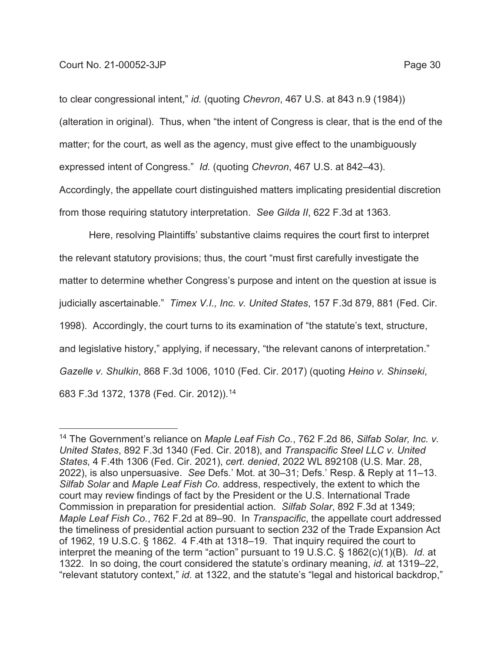to clear congressional intent," *id.* (quoting *Chevron*, 467 U.S. at 843 n.9 (1984)) (alteration in original). Thus, when "the intent of Congress is clear, that is the end of the matter; for the court, as well as the agency, must give effect to the unambiguously expressed intent of Congress." *Id.* (quoting *Chevron*, 467 U.S. at 842–43). Accordingly, the appellate court distinguished matters implicating presidential discretion from those requiring statutory interpretation. *See Gilda II*, 622 F.3d at 1363.

Here, resolving Plaintiffs' substantive claims requires the court first to interpret the relevant statutory provisions; thus, the court "must first carefully investigate the matter to determine whether Congress's purpose and intent on the question at issue is judicially ascertainable." *Timex V.I., Inc. v. United States*, 157 F.3d 879, 881 (Fed. Cir. 1998). Accordingly, the court turns to its examination of "the statute's text, structure, and legislative history," applying, if necessary, "the relevant canons of interpretation." *Gazelle v. Shulkin*, 868 F.3d 1006, 1010 (Fed. Cir. 2017) (quoting *Heino v. Shinseki*, 683 F.3d 1372, 1378 (Fed. Cir. 2012)).14

<sup>14</sup> The Government's reliance on *Maple Leaf Fish Co.*, 762 F.2d 86, *Silfab Solar, Inc. v. United States*, 892 F.3d 1340 (Fed. Cir. 2018), and *Transpacific Steel LLC v. United States*, 4 F.4th 1306 (Fed. Cir. 2021), *cert. denied*, 2022 WL 892108 (U.S. Mar. 28, 2022), is also unpersuasive. *See* Defs.' Mot. at 30–31; Defs.' Resp. & Reply at 11–13. *Silfab Solar* and *Maple Leaf Fish Co.* address, respectively, the extent to which the court may review findings of fact by the President or the U.S. International Trade Commission in preparation for presidential action. *Silfab Solar*, 892 F.3d at 1349; *Maple Leaf Fish Co.*, 762 F.2d at 89–90. In *Transpacific*, the appellate court addressed the timeliness of presidential action pursuant to section 232 of the Trade Expansion Act of 1962, 19 U.S.C. § 1862. 4 F.4th at 1318–19. That inquiry required the court to interpret the meaning of the term "action" pursuant to 19 U.S.C. § 1862(c)(1)(B). *Id.* at 1322. In so doing, the court considered the statute's ordinary meaning, *id.* at 1319–22, "relevant statutory context," *id.* at 1322, and the statute's "legal and historical backdrop,"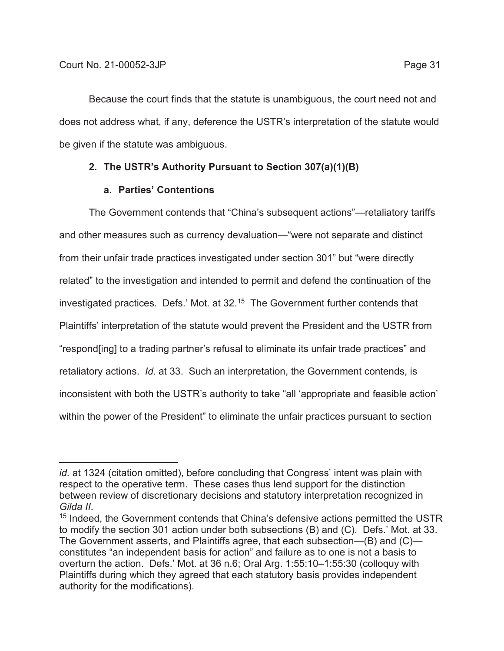Because the court finds that the statute is unambiguous, the court need not and does not address what, if any, deference the USTR's interpretation of the statute would be given if the statute was ambiguous.

# **2. The USTR's Authority Pursuant to Section 307(a)(1)(B)**

# **a. Parties' Contentions**

The Government contends that "China's subsequent actions"—retaliatory tariffs and other measures such as currency devaluation—"were not separate and distinct from their unfair trade practices investigated under section 301" but "were directly related" to the investigation and intended to permit and defend the continuation of the investigated practices. Defs.' Mot. at 32.<sup>15</sup> The Government further contends that Plaintiffs' interpretation of the statute would prevent the President and the USTR from "respond[ing] to a trading partner's refusal to eliminate its unfair trade practices" and retaliatory actions. *Id.* at 33. Such an interpretation, the Government contends, is inconsistent with both the USTR's authority to take "all 'appropriate and feasible action' within the power of the President" to eliminate the unfair practices pursuant to section

*id.* at 1324 (citation omitted), before concluding that Congress' intent was plain with respect to the operative term. These cases thus lend support for the distinction between review of discretionary decisions and statutory interpretation recognized in

*Gilda II.*<br><sup>15</sup> Indeed, the Government contends that China's defensive actions permitted the USTR to modify the section 301 action under both subsections (B) and (C). Defs.' Mot. at 33. The Government asserts, and Plaintiffs agree, that each subsection—(B) and (C) constitutes "an independent basis for action" and failure as to one is not a basis to overturn the action. Defs.' Mot. at 36 n.6; Oral Arg. 1:55:10–1:55:30 (colloquy with Plaintiffs during which they agreed that each statutory basis provides independent authority for the modifications).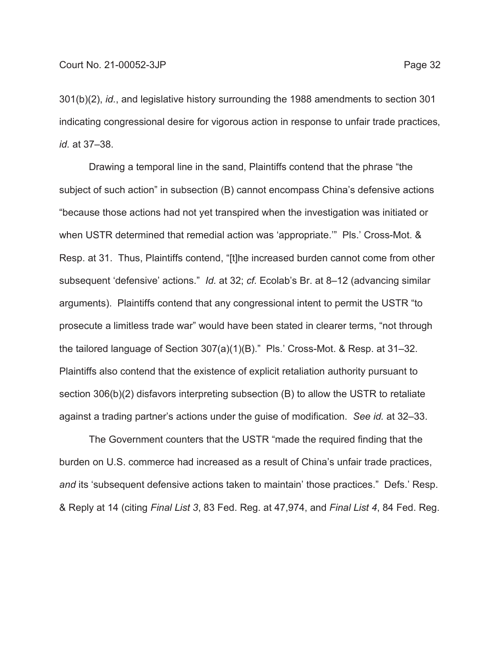301(b)(2), *id.*, and legislative history surrounding the 1988 amendments to section 301 indicating congressional desire for vigorous action in response to unfair trade practices, *id.* at 37–38.

Drawing a temporal line in the sand, Plaintiffs contend that the phrase "the subject of such action" in subsection (B) cannot encompass China's defensive actions "because those actions had not yet transpired when the investigation was initiated or when USTR determined that remedial action was 'appropriate.'" Pls.' Cross-Mot. & Resp. at 31. Thus, Plaintiffs contend, "[t]he increased burden cannot come from other subsequent 'defensive' actions." *Id.* at 32; *cf.* Ecolab's Br. at 8–12 (advancing similar arguments). Plaintiffs contend that any congressional intent to permit the USTR "to prosecute a limitless trade war" would have been stated in clearer terms, "not through the tailored language of Section 307(a)(1)(B)." Pls.' Cross-Mot. & Resp. at 31–32. Plaintiffs also contend that the existence of explicit retaliation authority pursuant to section 306(b)(2) disfavors interpreting subsection (B) to allow the USTR to retaliate against a trading partner's actions under the guise of modification. *See id.* at 32–33.

The Government counters that the USTR "made the required finding that the burden on U.S. commerce had increased as a result of China's unfair trade practices, *and* its 'subsequent defensive actions taken to maintain' those practices." Defs.' Resp. & Reply at 14 (citing *Final List 3*, 83 Fed. Reg. at 47,974, and *Final List 4*, 84 Fed. Reg.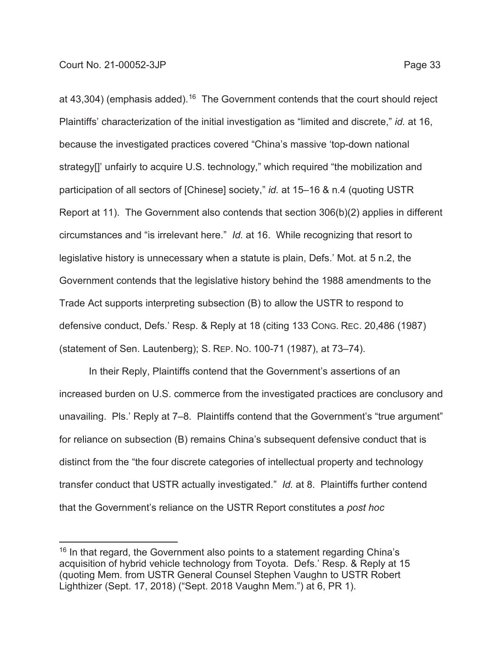at  $43,304$ ) (emphasis added).<sup>16</sup> The Government contends that the court should reject Plaintiffs' characterization of the initial investigation as "limited and discrete," *id.* at 16, because the investigated practices covered "China's massive 'top-down national strategy[]' unfairly to acquire U.S. technology," which required "the mobilization and participation of all sectors of [Chinese] society," *id.* at 15–16 & n.4 (quoting USTR Report at 11). The Government also contends that section 306(b)(2) applies in different circumstances and "is irrelevant here." *Id.* at 16. While recognizing that resort to legislative history is unnecessary when a statute is plain, Defs.' Mot. at 5 n.2, the Government contends that the legislative history behind the 1988 amendments to the Trade Act supports interpreting subsection (B) to allow the USTR to respond to defensive conduct, Defs.' Resp. & Reply at 18 (citing 133 CONG. REC. 20,486 (1987) (statement of Sen. Lautenberg); S. REP. NO. 100-71 (1987), at 73–74).

In their Reply, Plaintiffs contend that the Government's assertions of an increased burden on U.S. commerce from the investigated practices are conclusory and unavailing. Pls.' Reply at 7–8. Plaintiffs contend that the Government's "true argument" for reliance on subsection (B) remains China's subsequent defensive conduct that is distinct from the "the four discrete categories of intellectual property and technology transfer conduct that USTR actually investigated." *Id.* at 8. Plaintiffs further contend that the Government's reliance on the USTR Report constitutes a *post hoc*

 $16$  In that regard, the Government also points to a statement regarding China's acquisition of hybrid vehicle technology from Toyota. Defs.' Resp. & Reply at 15 (quoting Mem. from USTR General Counsel Stephen Vaughn to USTR Robert Lighthizer (Sept. 17, 2018) ("Sept. 2018 Vaughn Mem.") at 6, PR 1).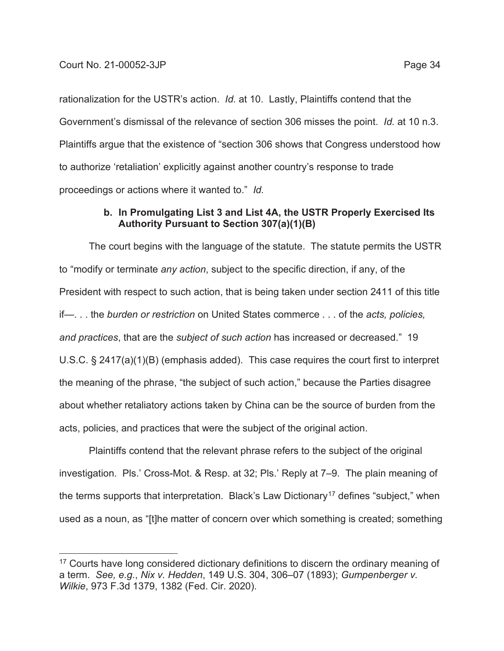rationalization for the USTR's action. *Id.* at 10. Lastly, Plaintiffs contend that the Government's dismissal of the relevance of section 306 misses the point. *Id.* at 10 n.3. Plaintiffs argue that the existence of "section 306 shows that Congress understood how to authorize 'retaliation' explicitly against another country's response to trade proceedings or actions where it wanted to." *Id.*

## **b. In Promulgating List 3 and List 4A, the USTR Properly Exercised Its Authority Pursuant to Section 307(a)(1)(B)**

The court begins with the language of the statute. The statute permits the USTR to "modify or terminate *any action*, subject to the specific direction, if any, of the President with respect to such action, that is being taken under section 2411 of this title if—. . . the *burden or restriction* on United States commerce . . . of the *acts, policies, and practices*, that are the *subject of such action* has increased or decreased." 19 U.S.C. § 2417(a)(1)(B) (emphasis added). This case requires the court first to interpret the meaning of the phrase, "the subject of such action," because the Parties disagree about whether retaliatory actions taken by China can be the source of burden from the acts, policies, and practices that were the subject of the original action.

Plaintiffs contend that the relevant phrase refers to the subject of the original investigation. Pls.' Cross-Mot. & Resp. at 32; Pls.' Reply at 7–9. The plain meaning of the terms supports that interpretation. Black's Law Dictionary<sup>17</sup> defines "subject," when used as a noun, as "[t]he matter of concern over which something is created; something

<sup>&</sup>lt;sup>17</sup> Courts have long considered dictionary definitions to discern the ordinary meaning of a term. *See, e.g.*, *Nix v. Hedden*, 149 U.S. 304, 306–07 (1893); *Gumpenberger v. Wilkie*, 973 F.3d 1379, 1382 (Fed. Cir. 2020).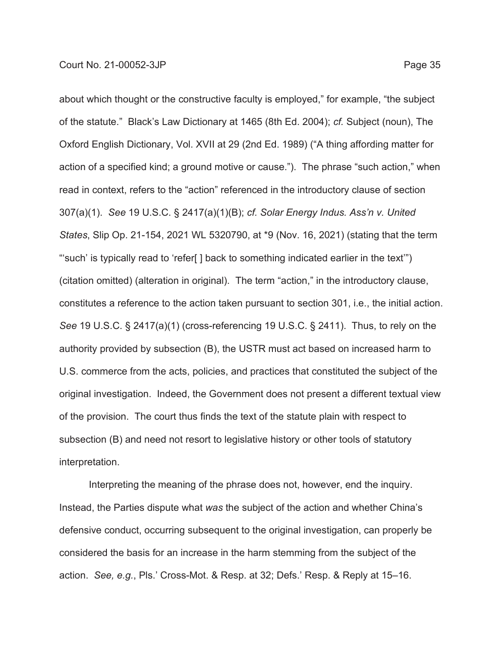about which thought or the constructive faculty is employed," for example, "the subject of the statute." Black's Law Dictionary at 1465 (8th Ed. 2004); *cf.* Subject (noun), The Oxford English Dictionary, Vol. XVII at 29 (2nd Ed. 1989) ("A thing affording matter for action of a specified kind; a ground motive or cause."). The phrase "such action," when read in context, refers to the "action" referenced in the introductory clause of section 307(a)(1). *See* 19 U.S.C. § 2417(a)(1)(B); *cf. Solar Energy Indus. Ass'n v. United States*, Slip Op. 21-154, 2021 WL 5320790, at \*9 (Nov. 16, 2021) (stating that the term "'such' is typically read to 'refer[ ] back to something indicated earlier in the text'") (citation omitted) (alteration in original). The term "action," in the introductory clause, constitutes a reference to the action taken pursuant to section 301, i.e., the initial action. *See* 19 U.S.C. § 2417(a)(1) (cross-referencing 19 U.S.C. § 2411). Thus, to rely on the authority provided by subsection (B), the USTR must act based on increased harm to U.S. commerce from the acts, policies, and practices that constituted the subject of the original investigation. Indeed, the Government does not present a different textual view of the provision. The court thus finds the text of the statute plain with respect to subsection (B) and need not resort to legislative history or other tools of statutory interpretation.

Interpreting the meaning of the phrase does not, however, end the inquiry. Instead, the Parties dispute what *was* the subject of the action and whether China's defensive conduct, occurring subsequent to the original investigation, can properly be considered the basis for an increase in the harm stemming from the subject of the action. *See, e.g.*, Pls.' Cross-Mot. & Resp. at 32; Defs.' Resp. & Reply at 15–16.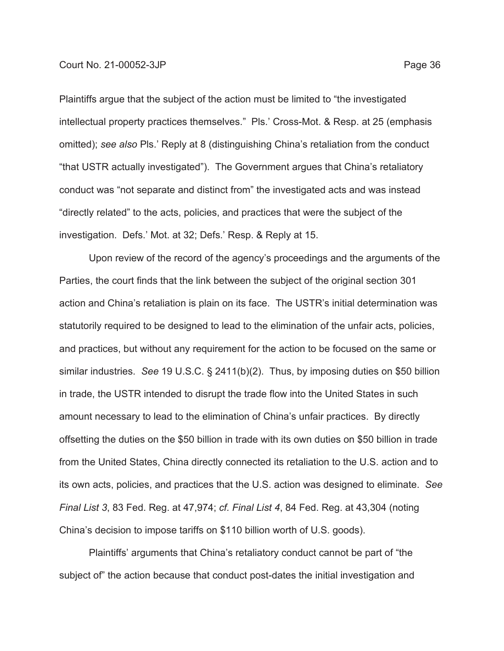Plaintiffs argue that the subject of the action must be limited to "the investigated intellectual property practices themselves." Pls.' Cross-Mot. & Resp. at 25 (emphasis omitted); *see also* Pls.' Reply at 8 (distinguishing China's retaliation from the conduct "that USTR actually investigated"). The Government argues that China's retaliatory conduct was "not separate and distinct from" the investigated acts and was instead "directly related" to the acts, policies, and practices that were the subject of the investigation. Defs.' Mot. at 32; Defs.' Resp. & Reply at 15.

Upon review of the record of the agency's proceedings and the arguments of the Parties, the court finds that the link between the subject of the original section 301 action and China's retaliation is plain on its face. The USTR's initial determination was statutorily required to be designed to lead to the elimination of the unfair acts, policies, and practices, but without any requirement for the action to be focused on the same or similar industries. *See* 19 U.S.C. § 2411(b)(2). Thus, by imposing duties on \$50 billion in trade, the USTR intended to disrupt the trade flow into the United States in such amount necessary to lead to the elimination of China's unfair practices. By directly offsetting the duties on the \$50 billion in trade with its own duties on \$50 billion in trade from the United States, China directly connected its retaliation to the U.S. action and to its own acts, policies, and practices that the U.S. action was designed to eliminate. *See Final List 3*, 83 Fed. Reg. at 47,974; *cf. Final List 4*, 84 Fed. Reg. at 43,304 (noting China's decision to impose tariffs on \$110 billion worth of U.S. goods).

Plaintiffs' arguments that China's retaliatory conduct cannot be part of "the subject of" the action because that conduct post-dates the initial investigation and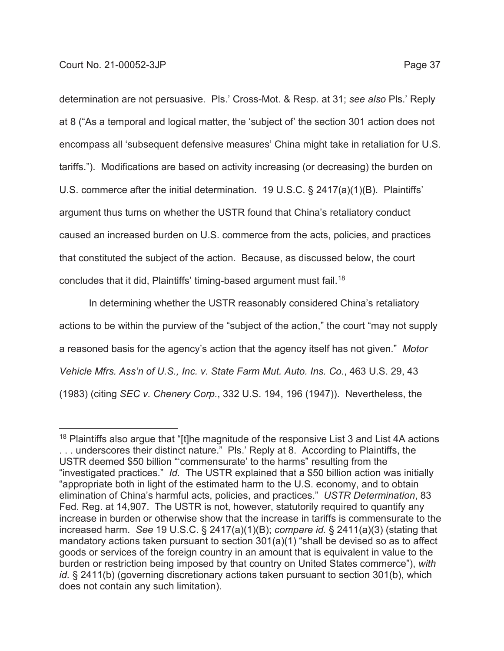determination are not persuasive. Pls.' Cross-Mot. & Resp. at 31; *see also* Pls.' Reply at 8 ("As a temporal and logical matter, the 'subject of' the section 301 action does not encompass all 'subsequent defensive measures' China might take in retaliation for U.S. tariffs."). Modifications are based on activity increasing (or decreasing) the burden on U.S. commerce after the initial determination. 19 U.S.C. § 2417(a)(1)(B). Plaintiffs' argument thus turns on whether the USTR found that China's retaliatory conduct caused an increased burden on U.S. commerce from the acts, policies, and practices that constituted the subject of the action. Because, as discussed below, the court concludes that it did, Plaintiffs' timing-based argument must fail.18

In determining whether the USTR reasonably considered China's retaliatory actions to be within the purview of the "subject of the action," the court "may not supply a reasoned basis for the agency's action that the agency itself has not given." *Motor Vehicle Mfrs. Ass'n of U.S., Inc. v. State Farm Mut. Auto. Ins. Co.*, 463 U.S. 29, 43 (1983) (citing *SEC v. Chenery Corp.*, 332 U.S. 194, 196 (1947)). Nevertheless, the

 $18$  Plaintiffs also argue that "[t]he magnitude of the responsive List 3 and List 4A actions . . . underscores their distinct nature." Pls.' Reply at 8. According to Plaintiffs, the USTR deemed \$50 billion "'commensurate' to the harms" resulting from the "investigated practices." *Id.* The USTR explained that a \$50 billion action was initially "appropriate both in light of the estimated harm to the U.S. economy, and to obtain elimination of China's harmful acts, policies, and practices." *USTR Determination*, 83 Fed. Reg. at 14,907. The USTR is not, however, statutorily required to quantify any increase in burden or otherwise show that the increase in tariffs is commensurate to the increased harm. *See* 19 U.S.C. § 2417(a)(1)(B); *compare id.* § 2411(a)(3) (stating that mandatory actions taken pursuant to section 301(a)(1) "shall be devised so as to affect goods or services of the foreign country in an amount that is equivalent in value to the burden or restriction being imposed by that country on United States commerce"), *with id.* § 2411(b) (governing discretionary actions taken pursuant to section 301(b), which does not contain any such limitation).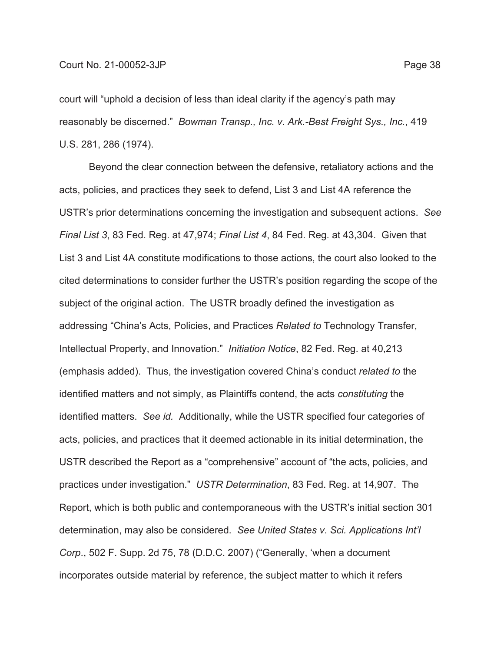court will "uphold a decision of less than ideal clarity if the agency's path may reasonably be discerned." *Bowman Transp., Inc. v. Ark.-Best Freight Sys., Inc.*, 419 U.S. 281, 286 (1974).

Beyond the clear connection between the defensive, retaliatory actions and the acts, policies, and practices they seek to defend, List 3 and List 4A reference the USTR's prior determinations concerning the investigation and subsequent actions. *See Final List 3*, 83 Fed. Reg. at 47,974; *Final List 4*, 84 Fed. Reg. at 43,304. Given that List 3 and List 4A constitute modifications to those actions, the court also looked to the cited determinations to consider further the USTR's position regarding the scope of the subject of the original action. The USTR broadly defined the investigation as addressing "China's Acts, Policies, and Practices *Related to* Technology Transfer, Intellectual Property, and Innovation." *Initiation Notice*, 82 Fed. Reg. at 40,213 (emphasis added). Thus, the investigation covered China's conduct *related to* the identified matters and not simply, as Plaintiffs contend, the acts *constituting* the identified matters. *See id.* Additionally, while the USTR specified four categories of acts, policies, and practices that it deemed actionable in its initial determination, the USTR described the Report as a "comprehensive" account of "the acts, policies, and practices under investigation." *USTR Determination*, 83 Fed. Reg. at 14,907. The Report, which is both public and contemporaneous with the USTR's initial section 301 determination, may also be considered. *See United States v. Sci. Applications Int'l Corp*., 502 F. Supp. 2d 75, 78 (D.D.C. 2007) ("Generally, 'when a document incorporates outside material by reference, the subject matter to which it refers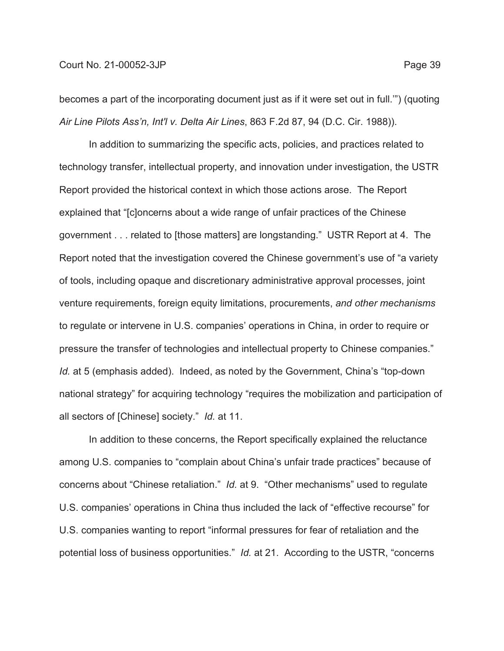### Court No. 21-00052-3JP Page 39

becomes a part of the incorporating document just as if it were set out in full.'") (quoting *Air Line Pilots Ass'n, Int'l v. Delta Air Lines*, 863 F.2d 87, 94 (D.C. Cir. 1988)).

In addition to summarizing the specific acts, policies, and practices related to technology transfer, intellectual property, and innovation under investigation, the USTR Report provided the historical context in which those actions arose. The Report explained that "[c]oncerns about a wide range of unfair practices of the Chinese government . . . related to [those matters] are longstanding." USTR Report at 4. The Report noted that the investigation covered the Chinese government's use of "a variety of tools, including opaque and discretionary administrative approval processes, joint venture requirements, foreign equity limitations, procurements, *and other mechanisms* to regulate or intervene in U.S. companies' operations in China, in order to require or pressure the transfer of technologies and intellectual property to Chinese companies." *Id.* at 5 (emphasis added). Indeed, as noted by the Government, China's "top-down national strategy" for acquiring technology "requires the mobilization and participation of all sectors of [Chinese] society." *Id.* at 11.

In addition to these concerns, the Report specifically explained the reluctance among U.S. companies to "complain about China's unfair trade practices" because of concerns about "Chinese retaliation." *Id.* at 9. "Other mechanisms" used to regulate U.S. companies' operations in China thus included the lack of "effective recourse" for U.S. companies wanting to report "informal pressures for fear of retaliation and the potential loss of business opportunities." *Id.* at 21. According to the USTR, "concerns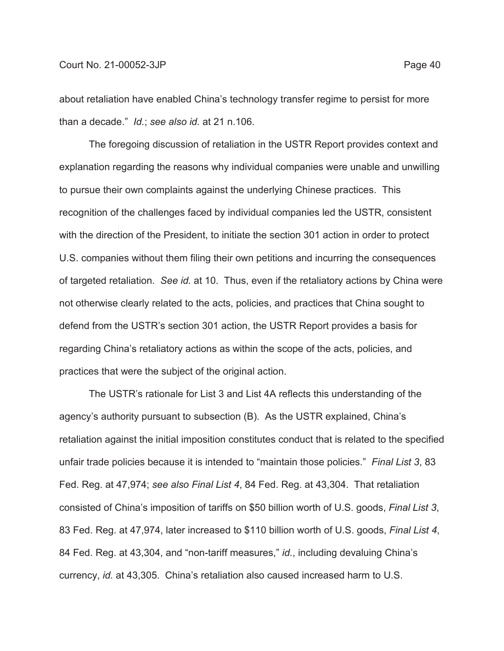about retaliation have enabled China's technology transfer regime to persist for more than a decade." *Id.*; *see also id.* at 21 n.106.

The foregoing discussion of retaliation in the USTR Report provides context and explanation regarding the reasons why individual companies were unable and unwilling to pursue their own complaints against the underlying Chinese practices. This recognition of the challenges faced by individual companies led the USTR, consistent with the direction of the President, to initiate the section 301 action in order to protect U.S. companies without them filing their own petitions and incurring the consequences of targeted retaliation. *See id.* at 10. Thus, even if the retaliatory actions by China were not otherwise clearly related to the acts, policies, and practices that China sought to defend from the USTR's section 301 action, the USTR Report provides a basis for regarding China's retaliatory actions as within the scope of the acts, policies, and practices that were the subject of the original action.

The USTR's rationale for List 3 and List 4A reflects this understanding of the agency's authority pursuant to subsection (B). As the USTR explained, China's retaliation against the initial imposition constitutes conduct that is related to the specified unfair trade policies because it is intended to "maintain those policies." *Final List 3*, 83 Fed. Reg. at 47,974; *see also Final List 4*, 84 Fed. Reg. at 43,304. That retaliation consisted of China's imposition of tariffs on \$50 billion worth of U.S. goods, *Final List 3*, 83 Fed. Reg. at 47,974, later increased to \$110 billion worth of U.S. goods, *Final List 4*, 84 Fed. Reg. at 43,304, and "non-tariff measures," *id.*, including devaluing China's currency, *id.* at 43,305. China's retaliation also caused increased harm to U.S.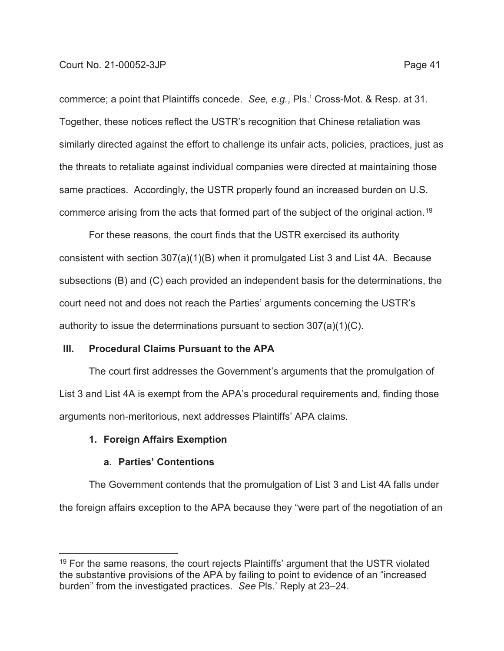commerce; a point that Plaintiffs concede. *See, e.g.*, Pls.' Cross-Mot. & Resp. at 31. Together, these notices reflect the USTR's recognition that Chinese retaliation was similarly directed against the effort to challenge its unfair acts, policies, practices, just as the threats to retaliate against individual companies were directed at maintaining those same practices. Accordingly, the USTR properly found an increased burden on U.S. commerce arising from the acts that formed part of the subject of the original action.<sup>19</sup>

For these reasons, the court finds that the USTR exercised its authority consistent with section 307(a)(1)(B) when it promulgated List 3 and List 4A. Because subsections (B) and (C) each provided an independent basis for the determinations, the court need not and does not reach the Parties' arguments concerning the USTR's authority to issue the determinations pursuant to section 307(a)(1)(C).

## **III. Procedural Claims Pursuant to the APA**

The court first addresses the Government's arguments that the promulgation of List 3 and List 4A is exempt from the APA's procedural requirements and, finding those arguments non-meritorious, next addresses Plaintiffs' APA claims.

## **1. Foreign Affairs Exemption**

### **a. Parties' Contentions**

The Government contends that the promulgation of List 3 and List 4A falls under the foreign affairs exception to the APA because they "were part of the negotiation of an

 $19$  For the same reasons, the court rejects Plaintiffs' argument that the USTR violated the substantive provisions of the APA by failing to point to evidence of an "increased burden" from the investigated practices. *See* Pls.' Reply at 23–24.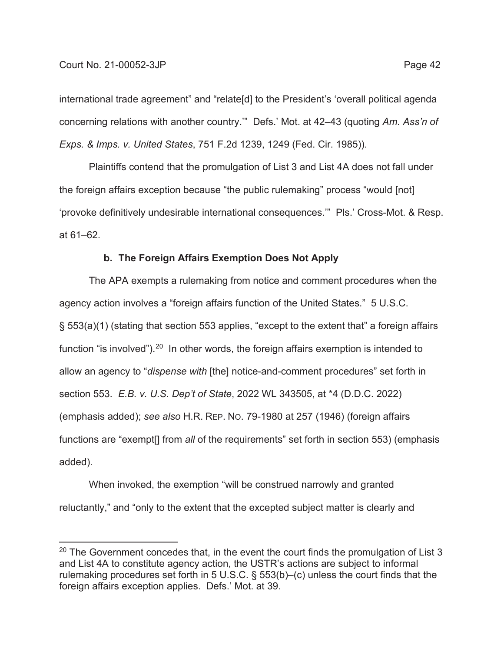### Court No. 21-00052-3JP Page 42

international trade agreement" and "relate[d] to the President's 'overall political agenda concerning relations with another country.'" Defs.' Mot. at 42–43 (quoting *Am. Ass'n of Exps. & Imps. v. United States*, 751 F.2d 1239, 1249 (Fed. Cir. 1985)).

Plaintiffs contend that the promulgation of List 3 and List 4A does not fall under the foreign affairs exception because "the public rulemaking" process "would [not] 'provoke definitively undesirable international consequences.'" Pls.' Cross-Mot. & Resp. at 61–62.

## **b. The Foreign Affairs Exemption Does Not Apply**

The APA exempts a rulemaking from notice and comment procedures when the agency action involves a "foreign affairs function of the United States." 5 U.S.C. § 553(a)(1) (stating that section 553 applies, "except to the extent that" a foreign affairs function "is involved").<sup>20</sup> In other words, the foreign affairs exemption is intended to allow an agency to "*dispense with* [the] notice-and-comment procedures" set forth in section 553. *E.B. v. U.S. Dep't of State*, 2022 WL 343505, at \*4 (D.D.C. 2022) (emphasis added); *see also* H.R. REP. NO. 79-1980 at 257 (1946) (foreign affairs functions are "exempt[] from *all* of the requirements" set forth in section 553) (emphasis added).

When invoked, the exemption "will be construed narrowly and granted reluctantly," and "only to the extent that the excepted subject matter is clearly and

 $20$  The Government concedes that, in the event the court finds the promulgation of List 3 and List 4A to constitute agency action, the USTR's actions are subject to informal rulemaking procedures set forth in 5 U.S.C. § 553(b)–(c) unless the court finds that the foreign affairs exception applies. Defs.' Mot. at 39.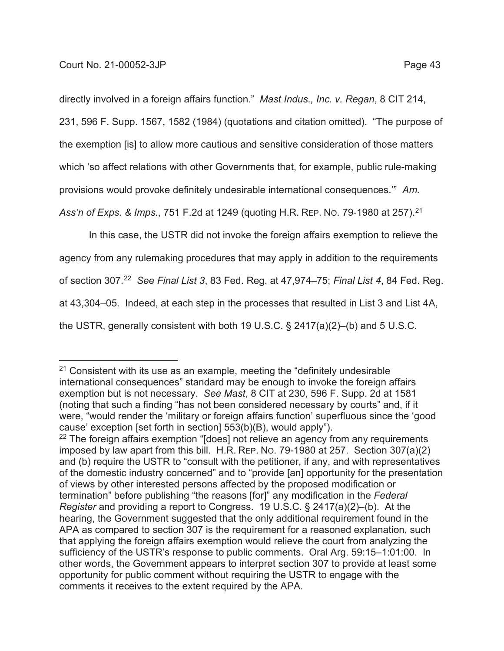directly involved in a foreign affairs function." *Mast Indus., Inc. v. Regan*, 8 CIT 214,

231, 596 F. Supp. 1567, 1582 (1984) (quotations and citation omitted). "The purpose of

the exemption [is] to allow more cautious and sensitive consideration of those matters

which 'so affect relations with other Governments that, for example, public rule-making

provisions would provoke definitely undesirable international consequences.'" *Am.* 

*Ass'n of Exps. & Imps.*, 751 F.2d at 1249 (quoting H.R. REP. NO. 79-1980 at 257).21

In this case, the USTR did not invoke the foreign affairs exemption to relieve the agency from any rulemaking procedures that may apply in addition to the requirements of section 307.22 *See Final List 3*, 83 Fed. Reg. at 47,974–75; *Final List 4*, 84 Fed. Reg. at 43,304–05. Indeed, at each step in the processes that resulted in List 3 and List 4A, the USTR, generally consistent with both 19 U.S.C. § 2417(a)(2)–(b) and 5 U.S.C.

 $21$  Consistent with its use as an example, meeting the "definitely undesirable international consequences" standard may be enough to invoke the foreign affairs exemption but is not necessary. *See Mast*, 8 CIT at 230, 596 F. Supp. 2d at 1581 (noting that such a finding "has not been considered necessary by courts" and, if it were, "would render the 'military or foreign affairs function' superfluous since the 'good cause' exception [set forth in section] 553(b)(B), would apply"). <sup>22</sup> The foreign affairs exemption "[does] not relieve an agency from any requirements imposed by law apart from this bill. H.R. REP. NO. 79-1980 at 257. Section 307(a)(2) and (b) require the USTR to "consult with the petitioner, if any, and with representatives of the domestic industry concerned" and to "provide [an] opportunity for the presentation of views by other interested persons affected by the proposed modification or termination" before publishing "the reasons [for]" any modification in the *Federal* 

*Register* and providing a report to Congress. 19 U.S.C. § 2417(a)(2)–(b). At the hearing, the Government suggested that the only additional requirement found in the APA as compared to section 307 is the requirement for a reasoned explanation, such that applying the foreign affairs exemption would relieve the court from analyzing the sufficiency of the USTR's response to public comments. Oral Arg. 59:15–1:01:00. In other words, the Government appears to interpret section 307 to provide at least some opportunity for public comment without requiring the USTR to engage with the comments it receives to the extent required by the APA.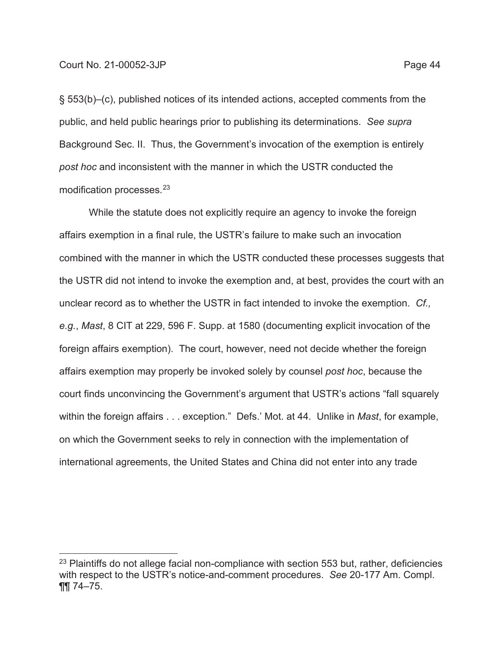§ 553(b)–(c), published notices of its intended actions, accepted comments from the public, and held public hearings prior to publishing its determinations. *See supra* Background Sec. II. Thus, the Government's invocation of the exemption is entirely *post hoc* and inconsistent with the manner in which the USTR conducted the modification processes.23

While the statute does not explicitly require an agency to invoke the foreign affairs exemption in a final rule, the USTR's failure to make such an invocation combined with the manner in which the USTR conducted these processes suggests that the USTR did not intend to invoke the exemption and, at best, provides the court with an unclear record as to whether the USTR in fact intended to invoke the exemption. *Cf., e.g.*, *Mast*, 8 CIT at 229, 596 F. Supp. at 1580 (documenting explicit invocation of the foreign affairs exemption). The court, however, need not decide whether the foreign affairs exemption may properly be invoked solely by counsel *post hoc*, because the court finds unconvincing the Government's argument that USTR's actions "fall squarely within the foreign affairs . . . exception." Defs.' Mot. at 44. Unlike in *Mast*, for example, on which the Government seeks to rely in connection with the implementation of international agreements, the United States and China did not enter into any trade

 $23$  Plaintiffs do not allege facial non-compliance with section 553 but, rather, deficiencies with respect to the USTR's notice-and-comment procedures. *See* 20-177 Am. Compl. ¶¶ 74–75.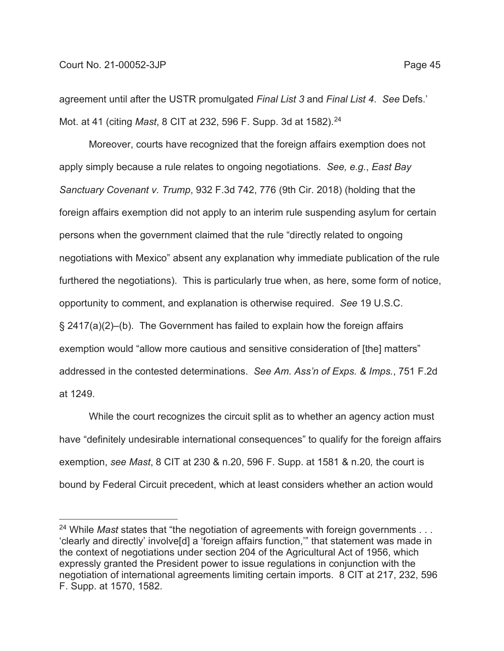agreement until after the USTR promulgated *Final List 3* and *Final List 4*. *See* Defs.' Mot. at 41 (citing *Mast*, 8 CIT at 232, 596 F. Supp. 3d at 1582).24

Moreover, courts have recognized that the foreign affairs exemption does not apply simply because a rule relates to ongoing negotiations. *See, e.g.*, *East Bay Sanctuary Covenant v. Trump*, 932 F.3d 742, 776 (9th Cir. 2018) (holding that the foreign affairs exemption did not apply to an interim rule suspending asylum for certain persons when the government claimed that the rule "directly related to ongoing negotiations with Mexico" absent any explanation why immediate publication of the rule furthered the negotiations). This is particularly true when, as here, some form of notice, opportunity to comment, and explanation is otherwise required. *See* 19 U.S.C. § 2417(a)(2)–(b). The Government has failed to explain how the foreign affairs exemption would "allow more cautious and sensitive consideration of [the] matters" addressed in the contested determinations. *See Am. Ass'n of Exps. & Imps.*, 751 F.2d at 1249.

While the court recognizes the circuit split as to whether an agency action must have "definitely undesirable international consequences" to qualify for the foreign affairs exemption, *see Mast*, 8 CIT at 230 & n.20, 596 F. Supp. at 1581 & n.20*,* the court is bound by Federal Circuit precedent, which at least considers whether an action would

<sup>&</sup>lt;sup>24</sup> While *Mast* states that "the negotiation of agreements with foreign governments . . . 'clearly and directly' involve[d] a 'foreign affairs function,'" that statement was made in the context of negotiations under section 204 of the Agricultural Act of 1956, which expressly granted the President power to issue regulations in conjunction with the negotiation of international agreements limiting certain imports. 8 CIT at 217, 232, 596 F. Supp. at 1570, 1582.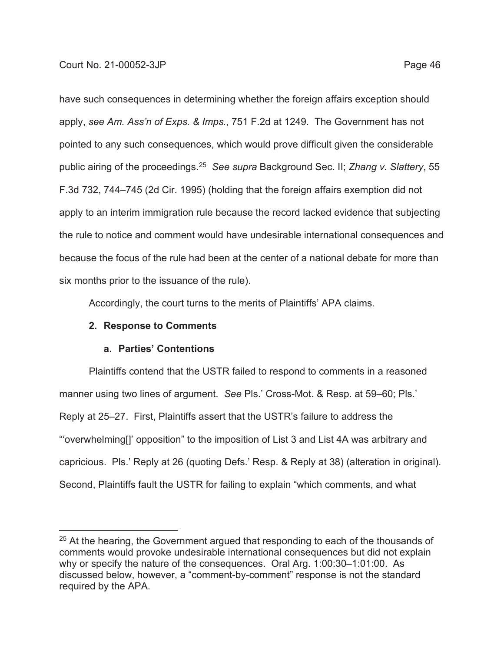have such consequences in determining whether the foreign affairs exception should apply, *see Am. Ass'n of Exps. & Imps.*, 751 F.2d at 1249. The Government has not pointed to any such consequences, which would prove difficult given the considerable public airing of the proceedings.25 *See supra* Background Sec. II; *Zhang v. Slattery*, 55 F.3d 732, 744–745 (2d Cir. 1995) (holding that the foreign affairs exemption did not

apply to an interim immigration rule because the record lacked evidence that subjecting the rule to notice and comment would have undesirable international consequences and because the focus of the rule had been at the center of a national debate for more than six months prior to the issuance of the rule).

Accordingly, the court turns to the merits of Plaintiffs' APA claims.

# **2. Response to Comments**

# **a. Parties' Contentions**

Plaintiffs contend that the USTR failed to respond to comments in a reasoned manner using two lines of argument. *See* Pls.' Cross-Mot. & Resp. at 59–60; Pls.' Reply at 25–27. First, Plaintiffs assert that the USTR's failure to address the "'overwhelming[]' opposition" to the imposition of List 3 and List 4A was arbitrary and capricious. Pls.' Reply at 26 (quoting Defs.' Resp. & Reply at 38) (alteration in original). Second, Plaintiffs fault the USTR for failing to explain "which comments, and what

 $25$  At the hearing, the Government argued that responding to each of the thousands of comments would provoke undesirable international consequences but did not explain why or specify the nature of the consequences. Oral Arg. 1:00:30–1:01:00. As discussed below, however, a "comment-by-comment" response is not the standard required by the APA.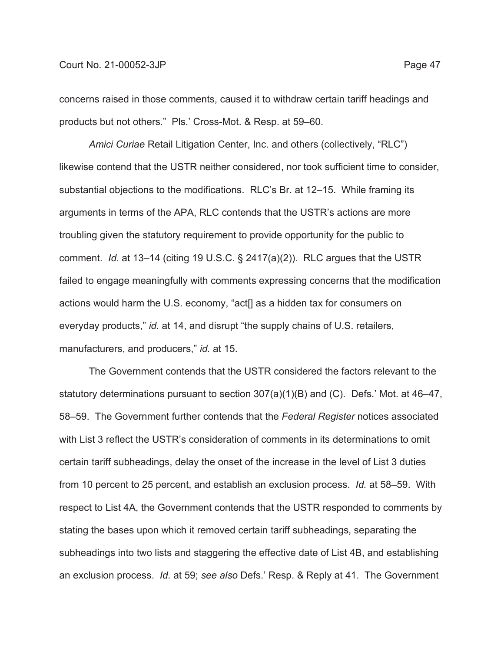concerns raised in those comments, caused it to withdraw certain tariff headings and products but not others." Pls.' Cross-Mot. & Resp. at 59–60.

*Amici Curiae* Retail Litigation Center, Inc. and others (collectively, "RLC") likewise contend that the USTR neither considered, nor took sufficient time to consider, substantial objections to the modifications. RLC's Br. at 12–15. While framing its arguments in terms of the APA, RLC contends that the USTR's actions are more troubling given the statutory requirement to provide opportunity for the public to comment. *Id.* at 13–14 (citing 19 U.S.C. § 2417(a)(2)). RLC argues that the USTR failed to engage meaningfully with comments expressing concerns that the modification actions would harm the U.S. economy, "act[] as a hidden tax for consumers on everyday products," *id.* at 14, and disrupt "the supply chains of U.S. retailers, manufacturers, and producers," *id.* at 15.

The Government contends that the USTR considered the factors relevant to the statutory determinations pursuant to section 307(a)(1)(B) and (C). Defs.' Mot. at 46–47, 58–59. The Government further contends that the *Federal Register* notices associated with List 3 reflect the USTR's consideration of comments in its determinations to omit certain tariff subheadings, delay the onset of the increase in the level of List 3 duties from 10 percent to 25 percent, and establish an exclusion process. *Id.* at 58–59. With respect to List 4A, the Government contends that the USTR responded to comments by stating the bases upon which it removed certain tariff subheadings, separating the subheadings into two lists and staggering the effective date of List 4B, and establishing an exclusion process. *Id.* at 59; *see also* Defs.' Resp. & Reply at 41. The Government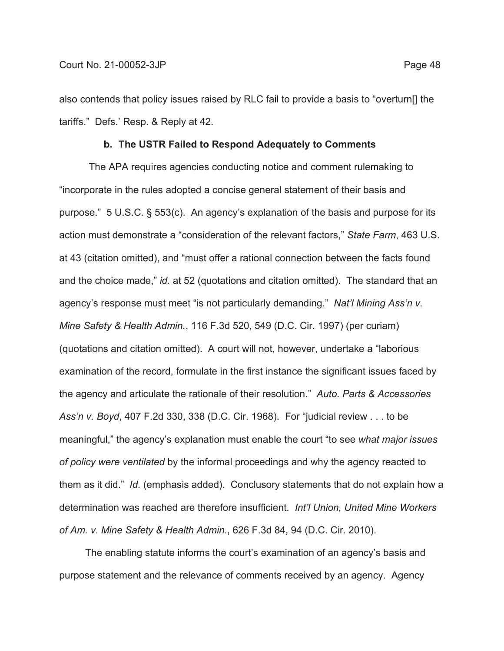also contends that policy issues raised by RLC fail to provide a basis to "overturn[] the tariffs." Defs.' Resp. & Reply at 42.

### **b. The USTR Failed to Respond Adequately to Comments**

The APA requires agencies conducting notice and comment rulemaking to "incorporate in the rules adopted a concise general statement of their basis and purpose." 5 U.S.C. § 553(c). An agency's explanation of the basis and purpose for its action must demonstrate a "consideration of the relevant factors," *State Farm*, 463 U.S. at 43 (citation omitted), and "must offer a rational connection between the facts found and the choice made," *id.* at 52 (quotations and citation omitted). The standard that an agency's response must meet "is not particularly demanding." *Nat'l Mining Ass'n v. Mine Safety & Health Admin.*, 116 F.3d 520, 549 (D.C. Cir. 1997) (per curiam) (quotations and citation omitted). A court will not, however, undertake a "laborious examination of the record, formulate in the first instance the significant issues faced by the agency and articulate the rationale of their resolution." *Auto. Parts & Accessories Ass'n v. Boyd*, 407 F.2d 330, 338 (D.C. Cir. 1968). For "judicial review . . . to be meaningful," the agency's explanation must enable the court "to see *what major issues of policy were ventilated* by the informal proceedings and why the agency reacted to them as it did." *Id.* (emphasis added). Conclusory statements that do not explain how a determination was reached are therefore insufficient. *Int'l Union, United Mine Workers of Am. v. Mine Safety & Health Admin.*, 626 F.3d 84, 94 (D.C. Cir. 2010).

The enabling statute informs the court's examination of an agency's basis and purpose statement and the relevance of comments received by an agency. Agency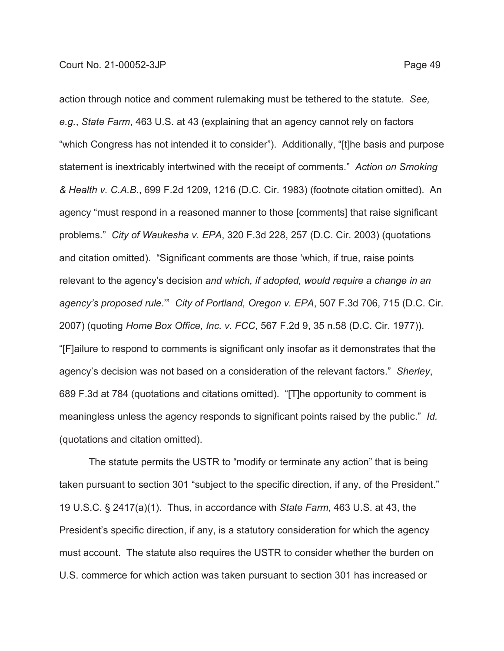action through notice and comment rulemaking must be tethered to the statute. *See, e.g.*, *State Farm*, 463 U.S. at 43 (explaining that an agency cannot rely on factors "which Congress has not intended it to consider"). Additionally, "[t]he basis and purpose statement is inextricably intertwined with the receipt of comments." *Action on Smoking & Health v. C.A.B.*, 699 F.2d 1209, 1216 (D.C. Cir. 1983) (footnote citation omitted). An agency "must respond in a reasoned manner to those [comments] that raise significant problems." *City of Waukesha v. EPA*, 320 F.3d 228, 257 (D.C. Cir. 2003) (quotations and citation omitted). "Significant comments are those 'which, if true, raise points relevant to the agency's decision *and which, if adopted, would require a change in an agency's proposed rule*.'" *City of Portland, Oregon v. EPA*, 507 F.3d 706, 715 (D.C. Cir. 2007) (quoting *Home Box Office, Inc. v. FCC*, 567 F.2d 9, 35 n.58 (D.C. Cir. 1977)). "[F]ailure to respond to comments is significant only insofar as it demonstrates that the agency's decision was not based on a consideration of the relevant factors." *Sherley*, 689 F.3d at 784 (quotations and citations omitted). "[T]he opportunity to comment is meaningless unless the agency responds to significant points raised by the public." *Id.* (quotations and citation omitted).

The statute permits the USTR to "modify or terminate any action" that is being taken pursuant to section 301 "subject to the specific direction, if any, of the President." 19 U.S.C. § 2417(a)(1). Thus, in accordance with *State Farm*, 463 U.S. at 43, the President's specific direction, if any, is a statutory consideration for which the agency must account. The statute also requires the USTR to consider whether the burden on U.S. commerce for which action was taken pursuant to section 301 has increased or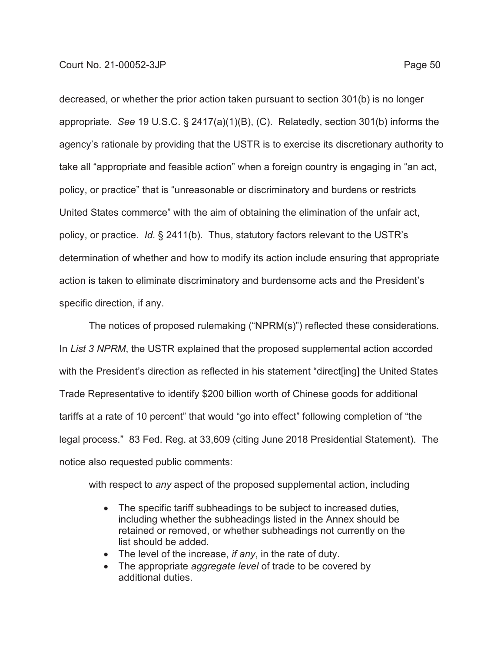decreased, or whether the prior action taken pursuant to section 301(b) is no longer appropriate. *See* 19 U.S.C. § 2417(a)(1)(B), (C). Relatedly, section 301(b) informs the agency's rationale by providing that the USTR is to exercise its discretionary authority to take all "appropriate and feasible action" when a foreign country is engaging in "an act, policy, or practice" that is "unreasonable or discriminatory and burdens or restricts United States commerce" with the aim of obtaining the elimination of the unfair act, policy, or practice. *Id.* § 2411(b). Thus, statutory factors relevant to the USTR's determination of whether and how to modify its action include ensuring that appropriate action is taken to eliminate discriminatory and burdensome acts and the President's specific direction, if any.

The notices of proposed rulemaking ("NPRM(s)") reflected these considerations. In *List 3 NPRM*, the USTR explained that the proposed supplemental action accorded with the President's direction as reflected in his statement "direct[ing] the United States Trade Representative to identify \$200 billion worth of Chinese goods for additional tariffs at a rate of 10 percent" that would "go into effect" following completion of "the legal process." 83 Fed. Reg. at 33,609 (citing June 2018 Presidential Statement). The notice also requested public comments:

with respect to *any* aspect of the proposed supplemental action, including

- The specific tariff subheadings to be subject to increased duties, including whether the subheadings listed in the Annex should be retained or removed, or whether subheadings not currently on the list should be added.
- The level of the increase, *if any*, in the rate of duty.
- The appropriate *aggregate level* of trade to be covered by additional duties.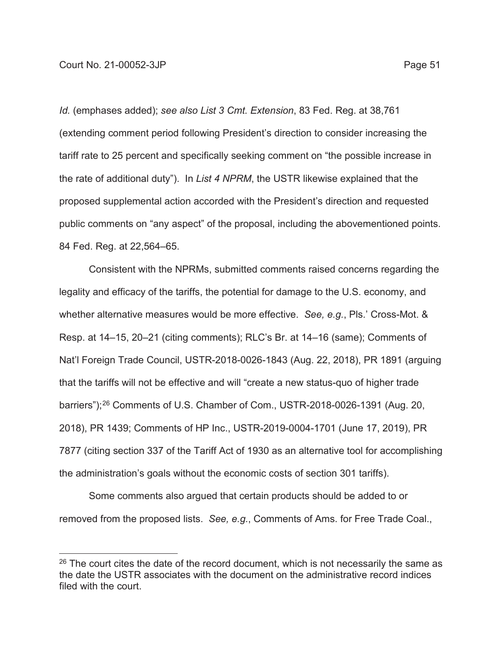*Id.* (emphases added); *see also List 3 Cmt. Extension*, 83 Fed. Reg. at 38,761 (extending comment period following President's direction to consider increasing the tariff rate to 25 percent and specifically seeking comment on "the possible increase in the rate of additional duty"). In *List 4 NPRM*, the USTR likewise explained that the proposed supplemental action accorded with the President's direction and requested public comments on "any aspect" of the proposal, including the abovementioned points. 84 Fed. Reg. at 22,564–65.

Consistent with the NPRMs, submitted comments raised concerns regarding the legality and efficacy of the tariffs, the potential for damage to the U.S. economy, and whether alternative measures would be more effective. *See, e.g.*, Pls.' Cross-Mot. & Resp. at 14–15, 20–21 (citing comments); RLC's Br. at 14–16 (same); Comments of Nat'l Foreign Trade Council, USTR-2018-0026-1843 (Aug. 22, 2018), PR 1891 (arguing that the tariffs will not be effective and will "create a new status-quo of higher trade barriers");26 Comments of U.S. Chamber of Com., USTR-2018-0026-1391 (Aug. 20, 2018), PR 1439; Comments of HP Inc., USTR-2019-0004-1701 (June 17, 2019), PR 7877 (citing section 337 of the Tariff Act of 1930 as an alternative tool for accomplishing the administration's goals without the economic costs of section 301 tariffs).

Some comments also argued that certain products should be added to or removed from the proposed lists. *See, e.g.*, Comments of Ams. for Free Trade Coal.,

 $26$  The court cites the date of the record document, which is not necessarily the same as the date the USTR associates with the document on the administrative record indices filed with the court.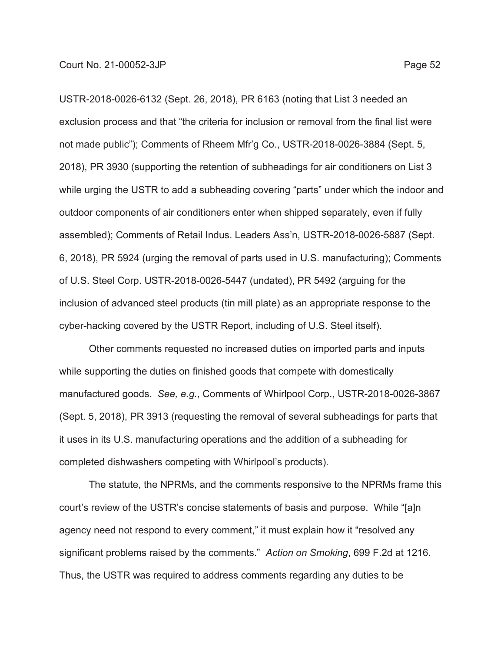USTR-2018-0026-6132 (Sept. 26, 2018), PR 6163 (noting that List 3 needed an exclusion process and that "the criteria for inclusion or removal from the final list were not made public"); Comments of Rheem Mfr'g Co., USTR-2018-0026-3884 (Sept. 5, 2018), PR 3930 (supporting the retention of subheadings for air conditioners on List 3 while urging the USTR to add a subheading covering "parts" under which the indoor and outdoor components of air conditioners enter when shipped separately, even if fully assembled); Comments of Retail Indus. Leaders Ass'n, USTR-2018-0026-5887 (Sept. 6, 2018), PR 5924 (urging the removal of parts used in U.S. manufacturing); Comments of U.S. Steel Corp. USTR-2018-0026-5447 (undated), PR 5492 (arguing for the inclusion of advanced steel products (tin mill plate) as an appropriate response to the cyber-hacking covered by the USTR Report, including of U.S. Steel itself).

Other comments requested no increased duties on imported parts and inputs while supporting the duties on finished goods that compete with domestically manufactured goods. *See, e.g.*, Comments of Whirlpool Corp., USTR-2018-0026-3867 (Sept. 5, 2018), PR 3913 (requesting the removal of several subheadings for parts that it uses in its U.S. manufacturing operations and the addition of a subheading for completed dishwashers competing with Whirlpool's products).

The statute, the NPRMs, and the comments responsive to the NPRMs frame this court's review of the USTR's concise statements of basis and purpose. While "[a]n agency need not respond to every comment," it must explain how it "resolved any significant problems raised by the comments." *Action on Smoking*, 699 F.2d at 1216. Thus, the USTR was required to address comments regarding any duties to be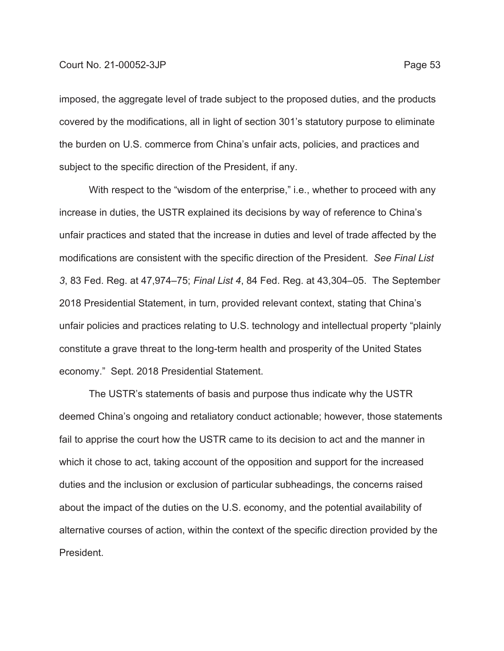imposed, the aggregate level of trade subject to the proposed duties, and the products covered by the modifications, all in light of section 301's statutory purpose to eliminate the burden on U.S. commerce from China's unfair acts, policies, and practices and subject to the specific direction of the President, if any.

With respect to the "wisdom of the enterprise," i.e., whether to proceed with any increase in duties, the USTR explained its decisions by way of reference to China's unfair practices and stated that the increase in duties and level of trade affected by the modifications are consistent with the specific direction of the President. *See Final List 3*, 83 Fed. Reg. at 47,974–75; *Final List 4*, 84 Fed. Reg. at 43,304–05. The September 2018 Presidential Statement, in turn, provided relevant context, stating that China's unfair policies and practices relating to U.S. technology and intellectual property "plainly constitute a grave threat to the long-term health and prosperity of the United States economy." Sept. 2018 Presidential Statement.

The USTR's statements of basis and purpose thus indicate why the USTR deemed China's ongoing and retaliatory conduct actionable; however, those statements fail to apprise the court how the USTR came to its decision to act and the manner in which it chose to act, taking account of the opposition and support for the increased duties and the inclusion or exclusion of particular subheadings, the concerns raised about the impact of the duties on the U.S. economy, and the potential availability of alternative courses of action, within the context of the specific direction provided by the President.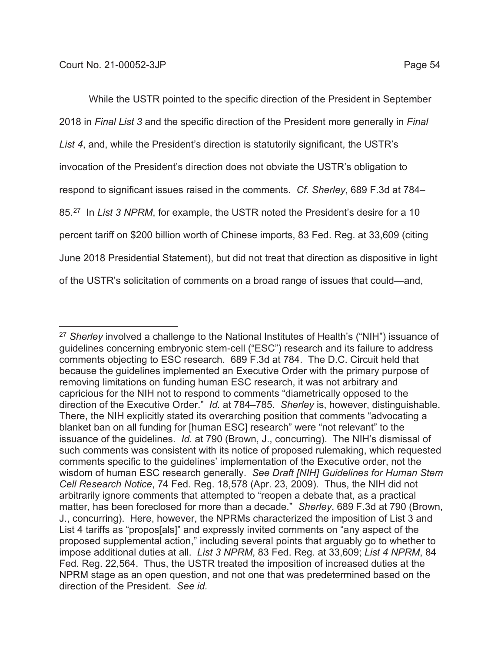While the USTR pointed to the specific direction of the President in September 2018 in *Final List 3* and the specific direction of the President more generally in *Final List 4*, and, while the President's direction is statutorily significant, the USTR's invocation of the President's direction does not obviate the USTR's obligation to respond to significant issues raised in the comments. *Cf. Sherley*, 689 F.3d at 784– 85.27 In *List 3 NPRM*, for example, the USTR noted the President's desire for a 10 percent tariff on \$200 billion worth of Chinese imports, 83 Fed. Reg. at 33,609 (citing June 2018 Presidential Statement), but did not treat that direction as dispositive in light of the USTR's solicitation of comments on a broad range of issues that could—and,

<sup>27</sup> *Sherley* involved a challenge to the National Institutes of Health's ("NIH") issuance of guidelines concerning embryonic stem-cell ("ESC") research and its failure to address comments objecting to ESC research. 689 F.3d at 784. The D.C. Circuit held that because the guidelines implemented an Executive Order with the primary purpose of removing limitations on funding human ESC research, it was not arbitrary and capricious for the NIH not to respond to comments "diametrically opposed to the direction of the Executive Order." *Id.* at 784–785. *Sherley* is, however, distinguishable. There, the NIH explicitly stated its overarching position that comments "advocating a blanket ban on all funding for [human ESC] research" were "not relevant" to the issuance of the guidelines. *Id.* at 790 (Brown, J., concurring). The NIH's dismissal of such comments was consistent with its notice of proposed rulemaking, which requested comments specific to the guidelines' implementation of the Executive order, not the wisdom of human ESC research generally. *See Draft [NIH] Guidelines for Human Stem Cell Research Notice*, 74 Fed. Reg. 18,578 (Apr. 23, 2009). Thus, the NIH did not arbitrarily ignore comments that attempted to "reopen a debate that, as a practical matter, has been foreclosed for more than a decade." *Sherley*, 689 F.3d at 790 (Brown, J., concurring). Here, however, the NPRMs characterized the imposition of List 3 and List 4 tariffs as "propos[als]" and expressly invited comments on "any aspect of the proposed supplemental action," including several points that arguably go to whether to impose additional duties at all. *List 3 NPRM*, 83 Fed. Reg. at 33,609; *List 4 NPRM*, 84 Fed. Reg. 22,564. Thus, the USTR treated the imposition of increased duties at the NPRM stage as an open question, and not one that was predetermined based on the direction of the President. *See id.*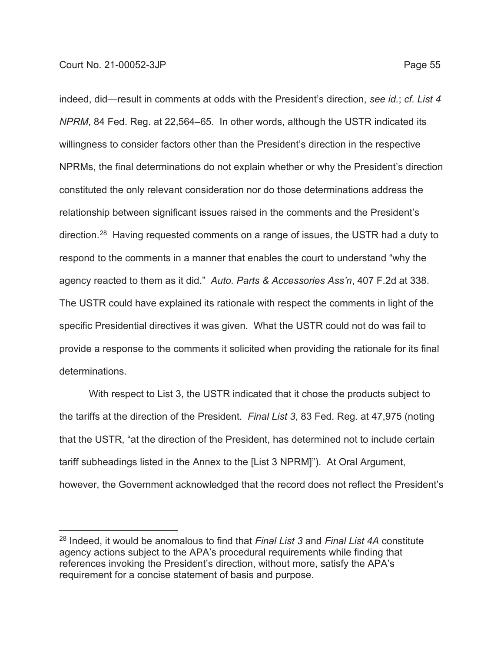indeed, did—result in comments at odds with the President's direction, *see id.*; *cf. List 4 NPRM*, 84 Fed. Reg. at 22,564–65. In other words, although the USTR indicated its willingness to consider factors other than the President's direction in the respective NPRMs, the final determinations do not explain whether or why the President's direction constituted the only relevant consideration nor do those determinations address the relationship between significant issues raised in the comments and the President's direction.28 Having requested comments on a range of issues, the USTR had a duty to respond to the comments in a manner that enables the court to understand "why the agency reacted to them as it did." *Auto. Parts & Accessories Ass'n*, 407 F.2d at 338. The USTR could have explained its rationale with respect the comments in light of the specific Presidential directives it was given. What the USTR could not do was fail to provide a response to the comments it solicited when providing the rationale for its final determinations.

With respect to List 3, the USTR indicated that it chose the products subject to the tariffs at the direction of the President. *Final List 3*, 83 Fed. Reg. at 47,975 (noting that the USTR, "at the direction of the President, has determined not to include certain tariff subheadings listed in the Annex to the [List 3 NPRM]"). At Oral Argument, however, the Government acknowledged that the record does not reflect the President's

<sup>28</sup> Indeed, it would be anomalous to find that *Final List 3* and *Final List 4A* constitute agency actions subject to the APA's procedural requirements while finding that references invoking the President's direction, without more, satisfy the APA's requirement for a concise statement of basis and purpose.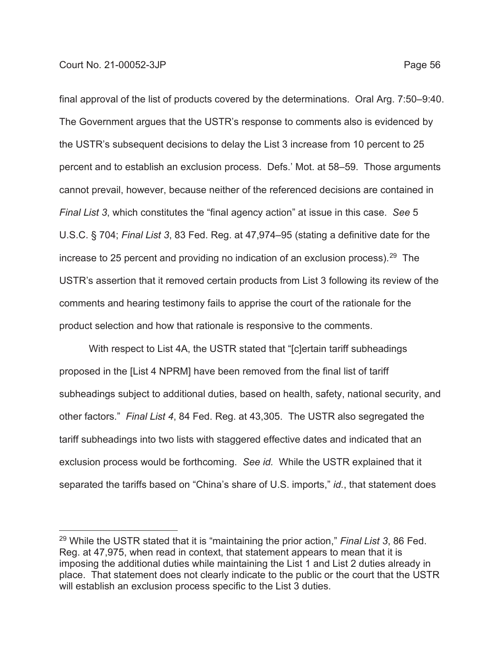final approval of the list of products covered by the determinations. Oral Arg. 7:50–9:40. The Government argues that the USTR's response to comments also is evidenced by the USTR's subsequent decisions to delay the List 3 increase from 10 percent to 25 percent and to establish an exclusion process. Defs.' Mot. at 58–59. Those arguments cannot prevail, however, because neither of the referenced decisions are contained in *Final List 3*, which constitutes the "final agency action" at issue in this case. *See* 5 U.S.C. § 704; *Final List 3*, 83 Fed. Reg. at 47,974–95 (stating a definitive date for the increase to 25 percent and providing no indication of an exclusion process).<sup>29</sup> The USTR's assertion that it removed certain products from List 3 following its review of the comments and hearing testimony fails to apprise the court of the rationale for the product selection and how that rationale is responsive to the comments.

With respect to List 4A, the USTR stated that "[c]ertain tariff subheadings proposed in the [List 4 NPRM] have been removed from the final list of tariff subheadings subject to additional duties, based on health, safety, national security, and other factors." *Final List 4*, 84 Fed. Reg. at 43,305. The USTR also segregated the tariff subheadings into two lists with staggered effective dates and indicated that an exclusion process would be forthcoming. *See id.* While the USTR explained that it separated the tariffs based on "China's share of U.S. imports," *id.*, that statement does

<sup>29</sup> While the USTR stated that it is "maintaining the prior action," *Final List 3*, 86 Fed. Reg. at 47,975, when read in context, that statement appears to mean that it is imposing the additional duties while maintaining the List 1 and List 2 duties already in place. That statement does not clearly indicate to the public or the court that the USTR will establish an exclusion process specific to the List 3 duties.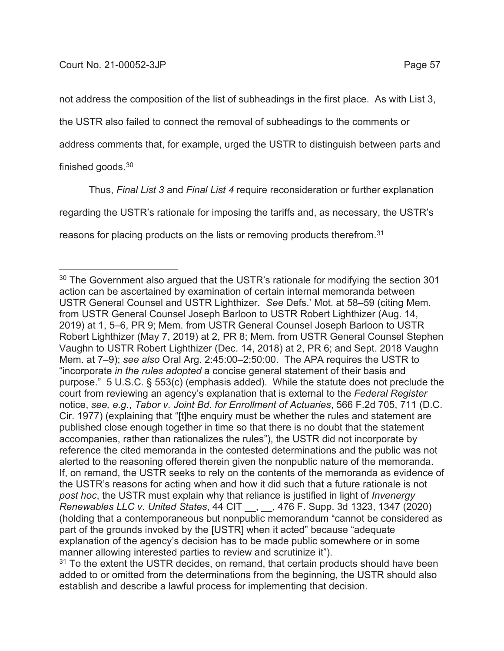not address the composition of the list of subheadings in the first place. As with List 3,

the USTR also failed to connect the removal of subheadings to the comments or

address comments that, for example, urged the USTR to distinguish between parts and

finished goods.30

Thus, *Final List 3* and *Final List 4* require reconsideration or further explanation regarding the USTR's rationale for imposing the tariffs and, as necessary, the USTR's reasons for placing products on the lists or removing products therefrom.<sup>31</sup>

 $30$  The Government also argued that the USTR's rationale for modifying the section 301 action can be ascertained by examination of certain internal memoranda between USTR General Counsel and USTR Lighthizer. *See* Defs.' Mot. at 58–59 (citing Mem. from USTR General Counsel Joseph Barloon to USTR Robert Lighthizer (Aug. 14, 2019) at 1, 5–6, PR 9; Mem. from USTR General Counsel Joseph Barloon to USTR Robert Lighthizer (May 7, 2019) at 2, PR 8; Mem. from USTR General Counsel Stephen Vaughn to USTR Robert Lighthizer (Dec. 14, 2018) at 2, PR 6; and Sept. 2018 Vaughn Mem. at 7–9); *see also* Oral Arg. 2:45:00–2:50:00. The APA requires the USTR to "incorporate *in the rules adopted* a concise general statement of their basis and purpose." 5 U.S.C. § 553(c) (emphasis added). While the statute does not preclude the court from reviewing an agency's explanation that is external to the *Federal Register* notice, *see, e.g.*, *Tabor v. Joint Bd. for Enrollment of Actuaries*, 566 F.2d 705, 711 (D.C. Cir. 1977) (explaining that "[t]he enquiry must be whether the rules and statement are published close enough together in time so that there is no doubt that the statement accompanies, rather than rationalizes the rules"), the USTR did not incorporate by reference the cited memoranda in the contested determinations and the public was not alerted to the reasoning offered therein given the nonpublic nature of the memoranda. If, on remand, the USTR seeks to rely on the contents of the memoranda as evidence of the USTR's reasons for acting when and how it did such that a future rationale is not *post hoc*, the USTR must explain why that reliance is justified in light of *Invenergy Renewables LLC v. United States*, 44 CIT \_\_, \_\_, 476 F. Supp. 3d 1323, 1347 (2020) (holding that a contemporaneous but nonpublic memorandum "cannot be considered as part of the grounds invoked by the [USTR] when it acted" because "adequate explanation of the agency's decision has to be made public somewhere or in some manner allowing interested parties to review and scrutinize it").

 $31$  To the extent the USTR decides, on remand, that certain products should have been added to or omitted from the determinations from the beginning, the USTR should also establish and describe a lawful process for implementing that decision.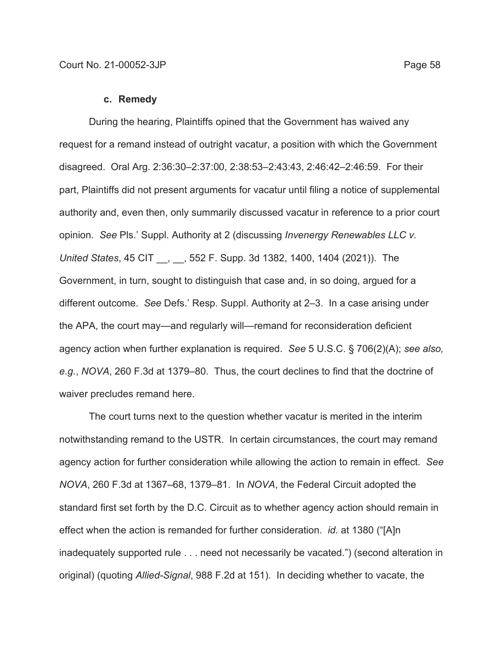#### **c. Remedy**

During the hearing, Plaintiffs opined that the Government has waived any request for a remand instead of outright vacatur, a position with which the Government disagreed. Oral Arg. 2:36:30–2:37:00, 2:38:53–2:43:43, 2:46:42–2:46:59. For their part, Plaintiffs did not present arguments for vacatur until filing a notice of supplemental authority and, even then, only summarily discussed vacatur in reference to a prior court opinion. *See* Pls.' Suppl. Authority at 2 (discussing *Invenergy Renewables LLC v. United States*, 45 CIT \_\_, \_\_, 552 F. Supp. 3d 1382, 1400, 1404 (2021)). The Government, in turn, sought to distinguish that case and, in so doing, argued for a different outcome. *See* Defs.' Resp. Suppl. Authority at 2–3. In a case arising under the APA, the court may—and regularly will—remand for reconsideration deficient agency action when further explanation is required. *See* 5 U.S.C. § 706(2)(A); *see also, e.g.*, *NOVA*, 260 F.3d at 1379–80. Thus, the court declines to find that the doctrine of waiver precludes remand here.

The court turns next to the question whether vacatur is merited in the interim notwithstanding remand to the USTR. In certain circumstances, the court may remand agency action for further consideration while allowing the action to remain in effect. *See NOVA*, 260 F.3d at 1367–68, 1379–81. In *NOVA*, the Federal Circuit adopted the standard first set forth by the D.C. Circuit as to whether agency action should remain in effect when the action is remanded for further consideration. *id.* at 1380 ("[A]n inadequately supported rule . . . need not necessarily be vacated.") (second alteration in original) (quoting *Allied-Signal*, 988 F.2d at 151). In deciding whether to vacate, the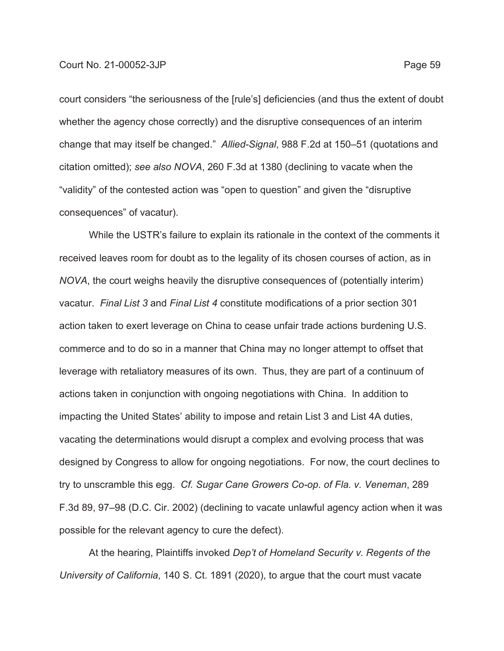court considers "the seriousness of the [rule's] deficiencies (and thus the extent of doubt whether the agency chose correctly) and the disruptive consequences of an interim change that may itself be changed." *Allied-Signal*, 988 F.2d at 150–51 (quotations and citation omitted); *see also NOVA*, 260 F.3d at 1380 (declining to vacate when the "validity" of the contested action was "open to question" and given the "disruptive consequences" of vacatur).

While the USTR's failure to explain its rationale in the context of the comments it received leaves room for doubt as to the legality of its chosen courses of action, as in *NOVA*, the court weighs heavily the disruptive consequences of (potentially interim) vacatur. *Final List 3* and *Final List 4* constitute modifications of a prior section 301 action taken to exert leverage on China to cease unfair trade actions burdening U.S. commerce and to do so in a manner that China may no longer attempt to offset that leverage with retaliatory measures of its own. Thus, they are part of a continuum of actions taken in conjunction with ongoing negotiations with China. In addition to impacting the United States' ability to impose and retain List 3 and List 4A duties, vacating the determinations would disrupt a complex and evolving process that was designed by Congress to allow for ongoing negotiations. For now, the court declines to try to unscramble this egg. *Cf. Sugar Cane Growers Co-op. of Fla. v. Veneman*, 289 F.3d 89, 97–98 (D.C. Cir. 2002) (declining to vacate unlawful agency action when it was possible for the relevant agency to cure the defect).

At the hearing, Plaintiffs invoked *Dep't of Homeland Security v. Regents of the University of California*, 140 S. Ct. 1891 (2020), to argue that the court must vacate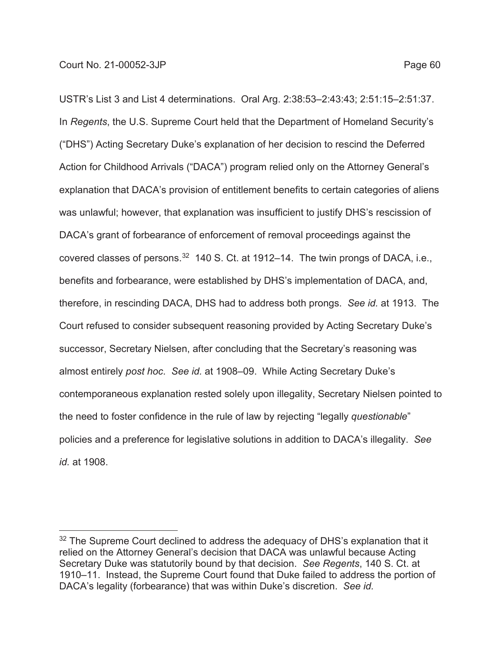USTR's List 3 and List 4 determinations. Oral Arg. 2:38:53–2:43:43; 2:51:15–2:51:37. In *Regents*, the U.S. Supreme Court held that the Department of Homeland Security's ("DHS") Acting Secretary Duke's explanation of her decision to rescind the Deferred Action for Childhood Arrivals ("DACA") program relied only on the Attorney General's explanation that DACA's provision of entitlement benefits to certain categories of aliens was unlawful; however, that explanation was insufficient to justify DHS's rescission of DACA's grant of forbearance of enforcement of removal proceedings against the covered classes of persons.<sup>32</sup> 140 S. Ct. at 1912–14. The twin prongs of DACA, i.e., benefits and forbearance, were established by DHS's implementation of DACA, and, therefore, in rescinding DACA, DHS had to address both prongs. *See id.* at 1913. The Court refused to consider subsequent reasoning provided by Acting Secretary Duke's successor, Secretary Nielsen, after concluding that the Secretary's reasoning was almost entirely *post hoc*. *See id.* at 1908–09. While Acting Secretary Duke's contemporaneous explanation rested solely upon illegality, Secretary Nielsen pointed to the need to foster confidence in the rule of law by rejecting "legally *questionable*" policies and a preference for legislative solutions in addition to DACA's illegality. *See id.* at 1908.

<sup>&</sup>lt;sup>32</sup> The Supreme Court declined to address the adequacy of DHS's explanation that it relied on the Attorney General's decision that DACA was unlawful because Acting Secretary Duke was statutorily bound by that decision. *See Regents*, 140 S. Ct. at 1910–11. Instead, the Supreme Court found that Duke failed to address the portion of DACA's legality (forbearance) that was within Duke's discretion. *See id.*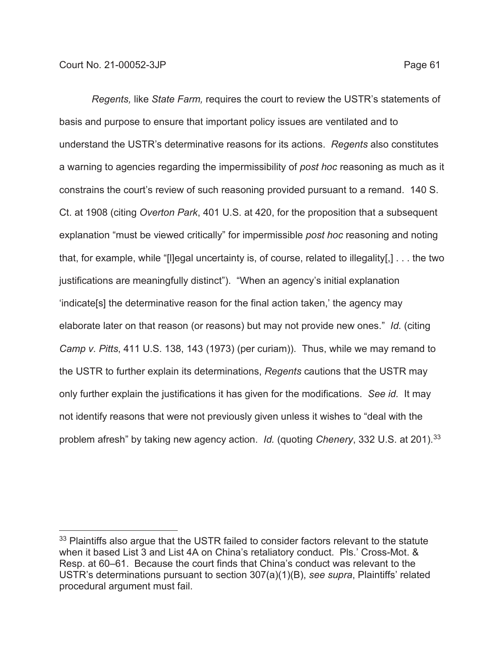*Regents,* like *State Farm,* requires the court to review the USTR's statements of basis and purpose to ensure that important policy issues are ventilated and to understand the USTR's determinative reasons for its actions. *Regents* also constitutes a warning to agencies regarding the impermissibility of *post hoc* reasoning as much as it constrains the court's review of such reasoning provided pursuant to a remand. 140 S. Ct. at 1908 (citing *Overton Park*, 401 U.S. at 420, for the proposition that a subsequent explanation "must be viewed critically" for impermissible *post hoc* reasoning and noting that, for example, while "[l]egal uncertainty is, of course, related to illegality[,] . . . the two justifications are meaningfully distinct"). "When an agency's initial explanation 'indicate[s] the determinative reason for the final action taken,' the agency may elaborate later on that reason (or reasons) but may not provide new ones." *Id.* (citing *Camp v. Pitts*, 411 U.S. 138, 143 (1973) (per curiam)). Thus, while we may remand to the USTR to further explain its determinations, *Regents* cautions that the USTR may only further explain the justifications it has given for the modifications. *See id.* It may not identify reasons that were not previously given unless it wishes to "deal with the problem afresh" by taking new agency action. *Id.* (quoting *Chenery*, 332 U.S. at 201).33

<sup>&</sup>lt;sup>33</sup> Plaintiffs also argue that the USTR failed to consider factors relevant to the statute when it based List 3 and List 4A on China's retaliatory conduct. Pls.' Cross-Mot. & Resp. at 60–61. Because the court finds that China's conduct was relevant to the USTR's determinations pursuant to section 307(a)(1)(B), *see supra*, Plaintiffs' related procedural argument must fail.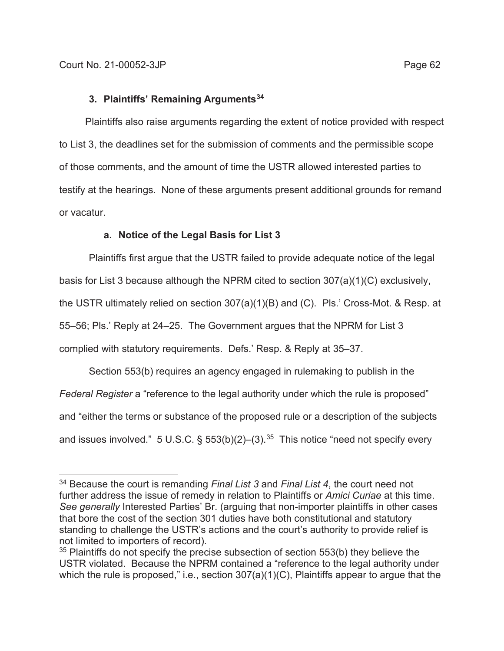# **3. Plaintiffs' Remaining Arguments34**

Plaintiffs also raise arguments regarding the extent of notice provided with respect to List 3, the deadlines set for the submission of comments and the permissible scope of those comments, and the amount of time the USTR allowed interested parties to testify at the hearings. None of these arguments present additional grounds for remand or vacatur.

# **a. Notice of the Legal Basis for List 3**

Plaintiffs first argue that the USTR failed to provide adequate notice of the legal basis for List 3 because although the NPRM cited to section 307(a)(1)(C) exclusively, the USTR ultimately relied on section 307(a)(1)(B) and (C). Pls.' Cross-Mot. & Resp. at 55–56; Pls.' Reply at 24–25. The Government argues that the NPRM for List 3 complied with statutory requirements. Defs.' Resp. & Reply at 35–37.

Section 553(b) requires an agency engaged in rulemaking to publish in the *Federal Register* a "reference to the legal authority under which the rule is proposed" and "either the terms or substance of the proposed rule or a description of the subjects and issues involved." 5 U.S.C. §  $553(b)(2)$ –(3).<sup>35</sup> This notice "need not specify every

<sup>34</sup> Because the court is remanding *Final List 3* and *Final List 4*, the court need not further address the issue of remedy in relation to Plaintiffs or *Amici Curiae* at this time. *See generally* Interested Parties' Br. (arguing that non-importer plaintiffs in other cases that bore the cost of the section 301 duties have both constitutional and statutory standing to challenge the USTR's actions and the court's authority to provide relief is not limited to importers of record).

 $35$  Plaintiffs do not specify the precise subsection of section 553(b) they believe the USTR violated. Because the NPRM contained a "reference to the legal authority under which the rule is proposed," i.e., section 307(a)(1)(C), Plaintiffs appear to argue that the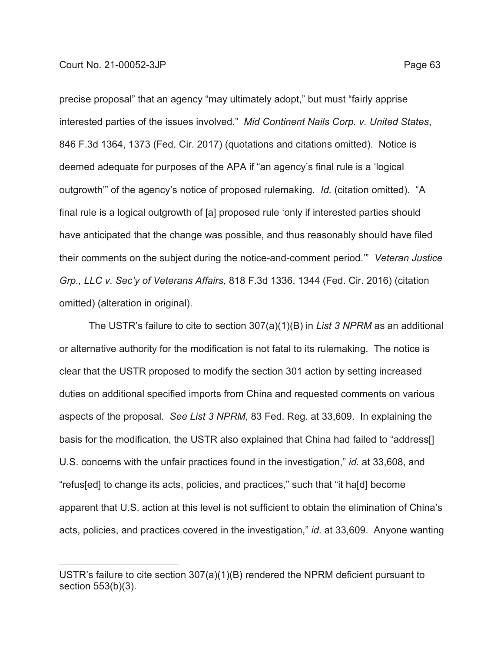precise proposal" that an agency "may ultimately adopt," but must "fairly apprise interested parties of the issues involved." *Mid Continent Nails Corp. v. United States*, 846 F.3d 1364, 1373 (Fed. Cir. 2017) (quotations and citations omitted). Notice is deemed adequate for purposes of the APA if "an agency's final rule is a 'logical outgrowth'" of the agency's notice of proposed rulemaking. *Id.* (citation omitted). "A final rule is a logical outgrowth of [a] proposed rule 'only if interested parties should have anticipated that the change was possible, and thus reasonably should have filed their comments on the subject during the notice-and-comment period.'" *Veteran Justice Grp., LLC v. Sec'y of Veterans Affairs*, 818 F.3d 1336, 1344 (Fed. Cir. 2016) (citation omitted) (alteration in original).

The USTR's failure to cite to section 307(a)(1)(B) in *List 3 NPRM* as an additional or alternative authority for the modification is not fatal to its rulemaking. The notice is clear that the USTR proposed to modify the section 301 action by setting increased duties on additional specified imports from China and requested comments on various aspects of the proposal. *See List 3 NPRM*, 83 Fed. Reg. at 33,609. In explaining the basis for the modification, the USTR also explained that China had failed to "address[] U.S. concerns with the unfair practices found in the investigation," *id.* at 33,608, and "refus[ed] to change its acts, policies, and practices," such that "it ha[d] become apparent that U.S. action at this level is not sufficient to obtain the elimination of China's acts, policies, and practices covered in the investigation," *id.* at 33,609. Anyone wanting

USTR's failure to cite section 307(a)(1)(B) rendered the NPRM deficient pursuant to section 553(b)(3).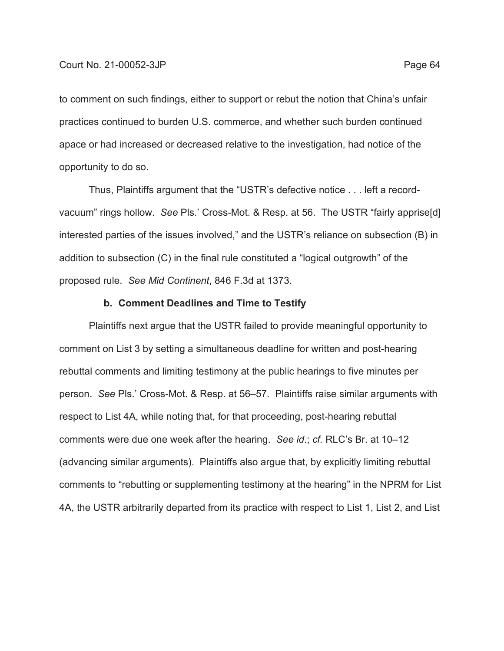to comment on such findings, either to support or rebut the notion that China's unfair practices continued to burden U.S. commerce, and whether such burden continued apace or had increased or decreased relative to the investigation, had notice of the opportunity to do so.

Thus, Plaintiffs argument that the "USTR's defective notice . . . left a recordvacuum" rings hollow. *See* Pls.' Cross-Mot. & Resp. at 56. The USTR "fairly apprise[d] interested parties of the issues involved," and the USTR's reliance on subsection (B) in addition to subsection (C) in the final rule constituted a "logical outgrowth" of the proposed rule. *See Mid Continent*, 846 F.3d at 1373.

### **b. Comment Deadlines and Time to Testify**

Plaintiffs next argue that the USTR failed to provide meaningful opportunity to comment on List 3 by setting a simultaneous deadline for written and post-hearing rebuttal comments and limiting testimony at the public hearings to five minutes per person. *See* Pls.' Cross-Mot. & Resp. at 56–57. Plaintiffs raise similar arguments with respect to List 4A, while noting that, for that proceeding, post-hearing rebuttal comments were due one week after the hearing. *See id*.; *cf.* RLC's Br. at 10–12 (advancing similar arguments). Plaintiffs also argue that, by explicitly limiting rebuttal comments to "rebutting or supplementing testimony at the hearing" in the NPRM for List 4A, the USTR arbitrarily departed from its practice with respect to List 1, List 2, and List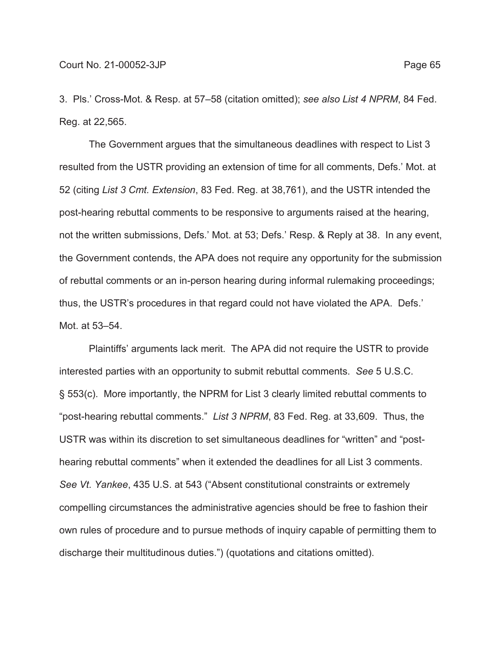3. Pls.' Cross-Mot. & Resp. at 57–58 (citation omitted); *see also List 4 NPRM*, 84 Fed. Reg. at 22,565.

The Government argues that the simultaneous deadlines with respect to List 3 resulted from the USTR providing an extension of time for all comments, Defs.' Mot. at 52 (citing *List 3 Cmt. Extension*, 83 Fed. Reg. at 38,761), and the USTR intended the post-hearing rebuttal comments to be responsive to arguments raised at the hearing, not the written submissions, Defs.' Mot. at 53; Defs.' Resp. & Reply at 38. In any event, the Government contends, the APA does not require any opportunity for the submission of rebuttal comments or an in-person hearing during informal rulemaking proceedings; thus, the USTR's procedures in that regard could not have violated the APA. Defs.' Mot. at 53–54.

Plaintiffs' arguments lack merit. The APA did not require the USTR to provide interested parties with an opportunity to submit rebuttal comments. *See* 5 U.S.C. § 553(c). More importantly, the NPRM for List 3 clearly limited rebuttal comments to "post-hearing rebuttal comments." *List 3 NPRM*, 83 Fed. Reg. at 33,609. Thus, the USTR was within its discretion to set simultaneous deadlines for "written" and "posthearing rebuttal comments" when it extended the deadlines for all List 3 comments. *See Vt. Yankee*, 435 U.S. at 543 ("Absent constitutional constraints or extremely compelling circumstances the administrative agencies should be free to fashion their own rules of procedure and to pursue methods of inquiry capable of permitting them to discharge their multitudinous duties.") (quotations and citations omitted).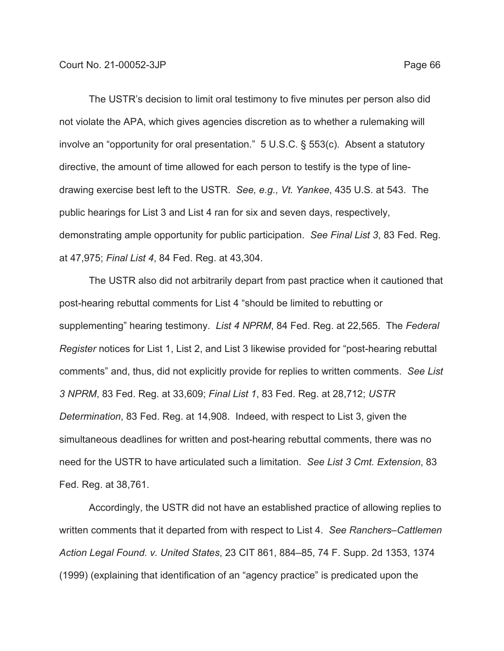The USTR's decision to limit oral testimony to five minutes per person also did not violate the APA, which gives agencies discretion as to whether a rulemaking will involve an "opportunity for oral presentation." 5 U.S.C. § 553(c). Absent a statutory directive, the amount of time allowed for each person to testify is the type of linedrawing exercise best left to the USTR. *See, e.g., Vt. Yankee*, 435 U.S. at 543. The public hearings for List 3 and List 4 ran for six and seven days, respectively, demonstrating ample opportunity for public participation. *See Final List 3*, 83 Fed. Reg. at 47,975; *Final List 4*, 84 Fed. Reg. at 43,304.

The USTR also did not arbitrarily depart from past practice when it cautioned that post-hearing rebuttal comments for List 4 "should be limited to rebutting or supplementing" hearing testimony. *List 4 NPRM*, 84 Fed. Reg. at 22,565. The *Federal Register* notices for List 1, List 2, and List 3 likewise provided for "post-hearing rebuttal comments" and, thus, did not explicitly provide for replies to written comments. *See List 3 NPRM*, 83 Fed. Reg. at 33,609; *Final List 1*, 83 Fed. Reg. at 28,712; *USTR Determination*, 83 Fed. Reg. at 14,908. Indeed, with respect to List 3, given the simultaneous deadlines for written and post-hearing rebuttal comments, there was no need for the USTR to have articulated such a limitation. *See List 3 Cmt. Extension*, 83 Fed. Reg. at 38,761.

Accordingly, the USTR did not have an established practice of allowing replies to written comments that it departed from with respect to List 4. *See Ranchers–Cattlemen Action Legal Found. v. United States*, 23 CIT 861, 884–85, 74 F. Supp. 2d 1353, 1374 (1999) (explaining that identification of an "agency practice" is predicated upon the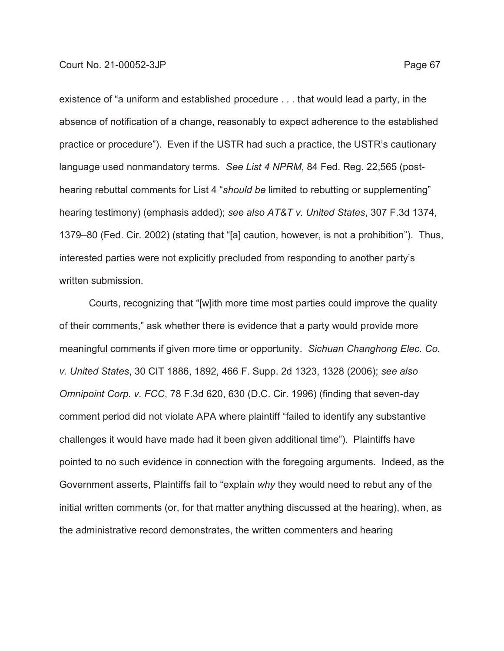existence of "a uniform and established procedure . . . that would lead a party, in the absence of notification of a change, reasonably to expect adherence to the established practice or procedure"). Even if the USTR had such a practice, the USTR's cautionary language used nonmandatory terms. *See List 4 NPRM*, 84 Fed. Reg. 22,565 (posthearing rebuttal comments for List 4 "*should be* limited to rebutting or supplementing" hearing testimony) (emphasis added); *see also AT&T v. United States*, 307 F.3d 1374, 1379–80 (Fed. Cir. 2002) (stating that "[a] caution, however, is not a prohibition"). Thus, interested parties were not explicitly precluded from responding to another party's written submission.

Courts, recognizing that "[w]ith more time most parties could improve the quality of their comments," ask whether there is evidence that a party would provide more meaningful comments if given more time or opportunity. *Sichuan Changhong Elec. Co. v. United States*, 30 CIT 1886, 1892, 466 F. Supp. 2d 1323, 1328 (2006); *see also Omnipoint Corp. v. FCC*, 78 F.3d 620, 630 (D.C. Cir. 1996) (finding that seven-day comment period did not violate APA where plaintiff "failed to identify any substantive challenges it would have made had it been given additional time"). Plaintiffs have pointed to no such evidence in connection with the foregoing arguments. Indeed, as the Government asserts, Plaintiffs fail to "explain *why* they would need to rebut any of the initial written comments (or, for that matter anything discussed at the hearing), when, as the administrative record demonstrates, the written commenters and hearing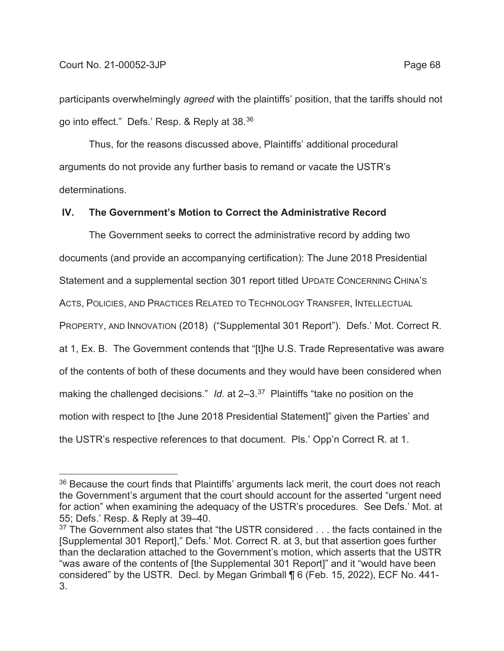participants overwhelmingly *agreed* with the plaintiffs' position, that the tariffs should not go into effect." Defs.' Resp. & Reply at 38.36

Thus, for the reasons discussed above, Plaintiffs' additional procedural arguments do not provide any further basis to remand or vacate the USTR's determinations.

# **IV. The Government's Motion to Correct the Administrative Record**

The Government seeks to correct the administrative record by adding two documents (and provide an accompanying certification): The June 2018 Presidential Statement and a supplemental section 301 report titled UPDATE CONCERNING CHINA'S ACTS, POLICIES, AND PRACTICES RELATED TO TECHNOLOGY TRANSFER, INTELLECTUAL PROPERTY, AND INNOVATION (2018) ("Supplemental 301 Report"). Defs.' Mot. Correct R. at 1, Ex. B. The Government contends that "[t]he U.S. Trade Representative was aware of the contents of both of these documents and they would have been considered when making the challenged decisions." *Id.* at 2–3.37 Plaintiffs "take no position on the motion with respect to [the June 2018 Presidential Statement]" given the Parties' and the USTR's respective references to that document. Pls.' Opp'n Correct R. at 1.

 $36$  Because the court finds that Plaintiffs' arguments lack merit, the court does not reach the Government's argument that the court should account for the asserted "urgent need for action" when examining the adequacy of the USTR's procedures. See Defs.' Mot. at 55; Defs.' Resp. & Reply at 39–40.

<sup>&</sup>lt;sup>37</sup> The Government also states that "the USTR considered . . . the facts contained in the [Supplemental 301 Report]," Defs.' Mot. Correct R. at 3, but that assertion goes further than the declaration attached to the Government's motion, which asserts that the USTR "was aware of the contents of [the Supplemental 301 Report]" and it "would have been considered" by the USTR. Decl. by Megan Grimball ¶ 6 (Feb. 15, 2022), ECF No. 441- 3.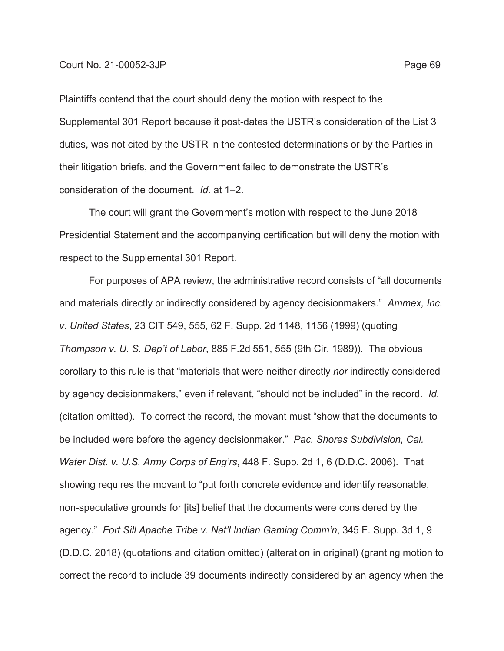Plaintiffs contend that the court should deny the motion with respect to the Supplemental 301 Report because it post-dates the USTR's consideration of the List 3 duties, was not cited by the USTR in the contested determinations or by the Parties in their litigation briefs, and the Government failed to demonstrate the USTR's consideration of the document. *Id.* at 1–2.

 The court will grant the Government's motion with respect to the June 2018 Presidential Statement and the accompanying certification but will deny the motion with respect to the Supplemental 301 Report.

For purposes of APA review, the administrative record consists of "all documents and materials directly or indirectly considered by agency decisionmakers." *Ammex, Inc. v. United States*, 23 CIT 549, 555, 62 F. Supp. 2d 1148, 1156 (1999) (quoting *Thompson v. U. S. Dep't of Labor*, 885 F.2d 551, 555 (9th Cir. 1989)). The obvious corollary to this rule is that "materials that were neither directly *nor* indirectly considered by agency decisionmakers," even if relevant, "should not be included" in the record. *Id.* (citation omitted). To correct the record, the movant must "show that the documents to be included were before the agency decisionmaker." *Pac. Shores Subdivision, Cal. Water Dist. v. U.S. Army Corps of Eng'rs*, 448 F. Supp. 2d 1, 6 (D.D.C. 2006). That showing requires the movant to "put forth concrete evidence and identify reasonable, non-speculative grounds for [its] belief that the documents were considered by the agency." *Fort Sill Apache Tribe v. Nat'l Indian Gaming Comm'n*, 345 F. Supp. 3d 1, 9 (D.D.C. 2018) (quotations and citation omitted) (alteration in original) (granting motion to correct the record to include 39 documents indirectly considered by an agency when the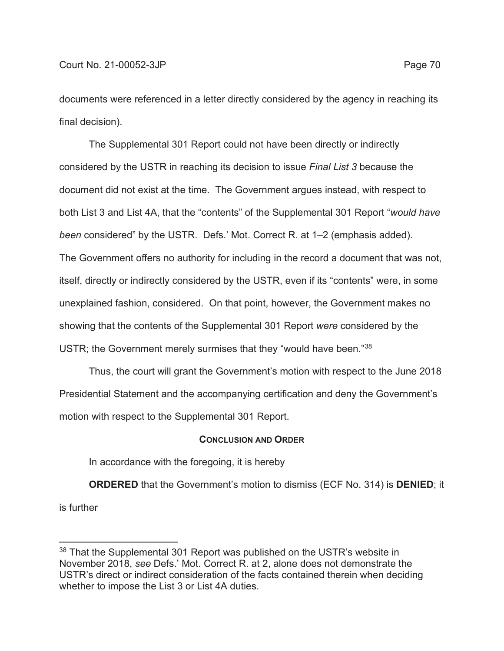documents were referenced in a letter directly considered by the agency in reaching its final decision).

The Supplemental 301 Report could not have been directly or indirectly considered by the USTR in reaching its decision to issue *Final List 3* because the document did not exist at the time. The Government argues instead, with respect to both List 3 and List 4A, that the "contents" of the Supplemental 301 Report "*would have been* considered" by the USTR. Defs.' Mot. Correct R. at 1–2 (emphasis added). The Government offers no authority for including in the record a document that was not, itself, directly or indirectly considered by the USTR, even if its "contents" were, in some unexplained fashion, considered. On that point, however, the Government makes no showing that the contents of the Supplemental 301 Report *were* considered by the USTR; the Government merely surmises that they "would have been."38

Thus, the court will grant the Government's motion with respect to the June 2018 Presidential Statement and the accompanying certification and deny the Government's motion with respect to the Supplemental 301 Report.

## **CONCLUSION AND ORDER**

In accordance with the foregoing, it is hereby

**ORDERED** that the Government's motion to dismiss (ECF No. 314) is **DENIED**; it is further

 $38$  That the Supplemental 301 Report was published on the USTR's website in November 2018, *see* Defs.' Mot. Correct R. at 2, alone does not demonstrate the USTR's direct or indirect consideration of the facts contained therein when deciding whether to impose the List 3 or List 4A duties.